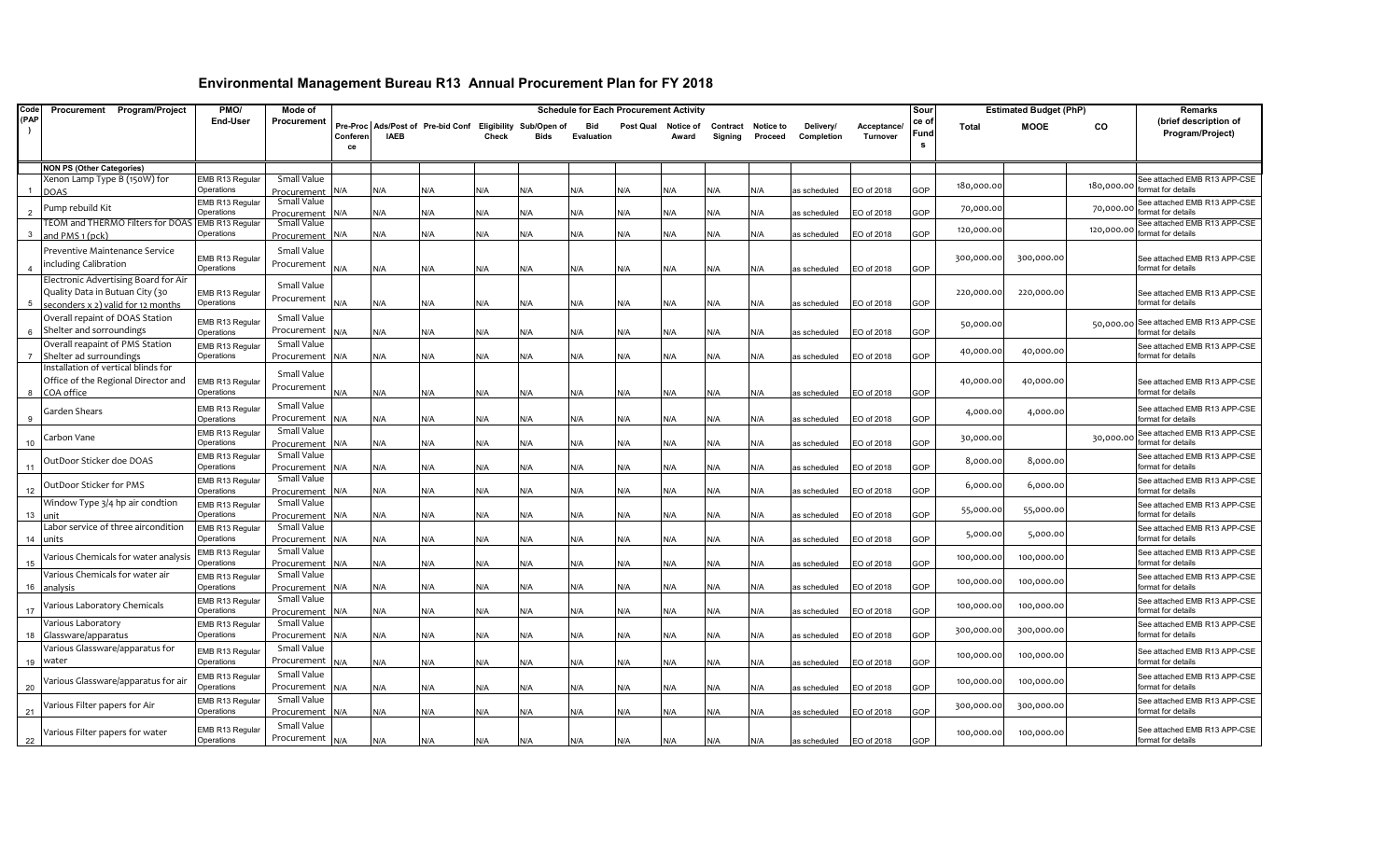| Code | Procurement Program/Project                      | PMO/                          | Mode of                    |                |             |                                                           |       |      | <b>Schedule for Each Procurement Activity</b> |           |                    |                     |                             |                         |                         | Sour               |              | <b>Estimated Budget (PhP)</b> |            | Remarks                                            |
|------|--------------------------------------------------|-------------------------------|----------------------------|----------------|-------------|-----------------------------------------------------------|-------|------|-----------------------------------------------|-----------|--------------------|---------------------|-----------------------------|-------------------------|-------------------------|--------------------|--------------|-------------------------------|------------|----------------------------------------------------|
| (PAP |                                                  | End-User                      | Procurement                | Conferer<br>ce | <b>IAEB</b> | Pre-Proc Ads/Post of Pre-bid Conf Eligibility Sub/Open of | Check | Bids | Bid<br>Evaluation                             | Post Qual | Notice of<br>Award | Contract<br>Sianina | <b>Notice to</b><br>Proceed | Delivery/<br>Completion | Acceptance.<br>Turnover | ce of<br>Fund<br>s | <b>Total</b> | <b>MOOE</b>                   | CO         | (brief description of<br>Program/Project)          |
|      | <b>NON PS (Other Categories)</b>                 |                               |                            |                |             |                                                           |       |      |                                               |           |                    |                     |                             |                         |                         |                    |              |                               |            |                                                    |
|      | Xenon Lamp Type B (150W) for                     | EMB R13 Regular               | Small Value                |                |             |                                                           |       |      |                                               |           |                    |                     |                             |                         |                         |                    |              |                               |            | See attached EMB R13 APP-CSE                       |
|      | <b>DOAS</b>                                      | Operations                    | Procurement                | ۷/A            | N/A         | N/A                                                       | N/A   | N/A  | N/A                                           | N/A       | N/A                | N/A                 | N/A                         | as scheduled            | EO of 2018              | GOP                | 180,000.00   |                               | 180,000.00 | format for details                                 |
|      | Pump rebuild Kit                                 | EMB R13 Regular               | Small Value                |                |             |                                                           |       |      |                                               |           |                    |                     |                             |                         |                         |                    | 70,000.00    |                               | 70,000.00  | See attached EMB R13 APP-CSE                       |
|      |                                                  | Operations                    | Procurement                | J/A            | N/A         | N/A                                                       | N/A   | N/A  | N/A                                           | N/A       | N/A                | N/A                 | N/A                         | as scheduled            | EO of 2018              | GOP                |              |                               |            | ormat for details                                  |
|      | TEOM and THERMO Filters for DOAS EMB R13 Regular | Operations                    | Small Value                | N/A            | N/A         | N/A                                                       | N/A   | N/A  | N/A                                           | N/A       | N/A                | N/A                 | N/A                         | as scheduled            | EO of 2018              | GOP                | 120,000.00   |                               | 120,000.00 | See attached EMB R13 APP-CSE<br>format for details |
|      | and PMS 1 (pck)                                  |                               | Procurement                |                |             |                                                           |       |      |                                               |           |                    |                     |                             |                         |                         |                    |              |                               |            |                                                    |
|      | Preventive Maintenance Service                   | EMB R13 Regular               | Small Value                |                |             |                                                           |       |      |                                               |           |                    |                     |                             |                         |                         |                    | 300,000.00   | 300,000.00                    |            | See attached EMB R13 APP-CSE                       |
|      | including Calibration                            | Operations                    | Procurement                | ۷A/            | N/A         | N/A                                                       | N/A   | N/A  | N/A                                           | N/A       | N/A                | N/A                 | N/A                         | as scheduled            | EO of 2018              | GOP                |              |                               |            | format for details                                 |
|      | Electronic Advertising Board for Air             |                               | Small Value                |                |             |                                                           |       |      |                                               |           |                    |                     |                             |                         |                         |                    |              |                               |            |                                                    |
|      | Quality Data in Butuan City (30                  | EMB R13 Regular               | Procurement                |                |             |                                                           |       |      |                                               |           |                    |                     |                             |                         |                         |                    | 220,000.00   | 220,000.00                    |            | See attached EMB R13 APP-CSE                       |
|      | seconders x 2) valid for 12 months               | Operations                    |                            | 4/A            | N/A         | N/A                                                       | N/A   | N/A  | N/A                                           | N/A       | N/A                | N/A                 | N/A                         | as scheduled            | EO of 2018              | GOP                |              |                               |            | ormat for details                                  |
|      | Overall repaint of DOAS Station                  | EMB R13 Regular               | Small Value                |                |             |                                                           |       |      |                                               |           |                    |                     |                             |                         |                         |                    | 50,000.00    |                               |            | 50,000.00 See attached EMB R13 APP-CSE             |
|      | Shelter and sorroundings                         | Operations                    | Procurement                | l/A            | N/A         | N/A                                                       | N/A   | ۷/A  | N/A                                           | N/A       | N/A                | N/A                 | N/A                         | as scheduled            | EO of 2018              | GOP                |              |                               |            | format for details                                 |
|      | Overall reapaint of PMS Station                  | EMB R13 Regular               | Small Value                |                |             |                                                           |       |      |                                               |           |                    |                     |                             |                         |                         |                    | 40,000.00    | 40,000.00                     |            | See attached EMB R13 APP-CSE                       |
|      | Shelter ad surroundings                          | Operations                    | Procurement                | N/A            | N/A         | N/A                                                       | N/A   | N/A  | N/A                                           | N/A       | N/A                | N/A                 | N/A                         | as scheduled            | EO of 2018              | GOP                |              |                               |            | ormat for details                                  |
|      | Installation of vertical blinds for              |                               | Small Value                |                |             |                                                           |       |      |                                               |           |                    |                     |                             |                         |                         |                    |              |                               |            |                                                    |
| -8   | Office of the Regional Director and              | EMB R13 Regular<br>Operations | Procurement                | ۷/A            | N/A         | N/A                                                       | N/A   | N/A  | N/A                                           | N/A       | N/A                | N/A                 | N/A                         | as scheduled            | EO of 2018              | GOP                | 40,000.00    | 40,000.00                     |            | See attached EMB R13 APP-CSE<br>format for details |
|      | COA office                                       |                               | Small Value                |                |             |                                                           |       |      |                                               |           |                    |                     |                             |                         |                         |                    |              |                               |            |                                                    |
|      | Garden Shears                                    | EMB R13 Regular<br>Operations | Procurement                | 4/A            | N/A         | N/A                                                       |       |      | N/A                                           |           | N/A                |                     |                             |                         | EO of 2018              | GOP                | 4,000.00     | 4,000.00                      |            | See attached EMB R13 APP-CSE<br>format for details |
|      |                                                  |                               | Small Value                |                |             |                                                           | N/A   | N/A  |                                               | N/A       |                    | N/A                 | N/A                         | as scheduled            |                         |                    |              |                               |            | See attached EMB R13 APP-CSE                       |
| 10   | Carbon Vane                                      | EMB R13 Regular<br>Operations | Procurement                | ۷/A            | N/A         | N/A                                                       | N/A   | N/A  | N/A                                           | N/A       | N/A                | N/A                 | N/A                         | as scheduled            | EO of 2018              | GOP                | 30,000.00    |                               | 30,000.00  | format for details                                 |
|      |                                                  | EMB R13 Regular               | Small Value                |                |             |                                                           |       |      |                                               |           |                    |                     |                             |                         |                         |                    |              |                               |            | See attached EMB R13 APP-CSE                       |
|      | OutDoor Sticker doe DOAS                         | Operations                    | Procurement                | ۷/A            | N/A         | N/A                                                       | N/A   | N/A  | N/A                                           | N/A       | N/A                | N/A                 | N/A                         | as scheduled            | EO of 2018              | GOP                | 8,000.0      | 8,000.00                      |            | ormat for details                                  |
|      | OutDoor Sticker for PMS                          | EMB R13 Regular               | Small Value                |                |             |                                                           |       |      |                                               |           |                    |                     |                             |                         |                         |                    | 6,000.00     | 6,000.00                      |            | See attached EMB R13 APP-CSE                       |
| 12   |                                                  | Operations                    | Procurement                | J/A            | N/A         | N/A                                                       | N/A   | N/A  | N/A                                           | N/A       | N/A                | N/A                 | N/A                         | as scheduled            | EO of 2018              | GOP                |              |                               |            | format for details                                 |
|      | Window Type 3/4 hp air condtion                  | EMB R13 Regular               | Small Value                |                |             |                                                           |       |      |                                               |           |                    |                     |                             |                         |                         |                    | 55,000.0     | 55,000.00                     |            | See attached EMB R13 APP-CSE                       |
| 13   | unit                                             | Operations                    | Procurement                | J/A            | N/A         | N/A                                                       | N/A   | N/A  | N/A                                           | N/A       | N/A                | N/A                 | N/A                         | as scheduled            | EO of 2018              | GOP                |              |                               |            | ormat for details                                  |
| 14   | Labor service of three aircondition<br>units     | EMB R13 Regular               | Small Value                | J/A            | N/A         | N/A                                                       | N/A   | N/A  | N/A                                           | N/A       | N/A                | N/A                 |                             |                         | EO of 2018              | GOP                | 5,000.00     | 5,000.00                      |            | See attached EMB R13 APP-CSE<br>format for details |
|      |                                                  | Operations<br>EMB R13 Regular | Procurement<br>Small Value |                |             |                                                           |       |      |                                               |           |                    |                     | N/A                         | as scheduled            |                         |                    |              |                               |            | See attached EMB R13 APP-CSE                       |
| 15   | Various Chemicals for water analysis             | Operations                    | Procurement                | ۷/A            | N/A         | N/A                                                       | N/A   | N/A  | N/A                                           | N/A       | N/A                | N/A                 | N/A                         | as scheduled            | EO of 2018              | GOP                | 100,000.00   | 100,000.00                    |            | ormat for details                                  |
|      | Various Chemicals for water air                  | EMB R13 Regular               | Small Value                |                |             |                                                           |       |      |                                               |           |                    |                     |                             |                         |                         |                    |              |                               |            | See attached EMB R13 APP-CSE                       |
| 16   | analysis                                         | Operations                    | Procurement                | N/A            | N/A         | N/A                                                       | N/A   | N/A  | N/A                                           | N/A       | N/A                | N/A                 | N/A                         | as scheduled            | EO of 2018              | GOP                | 100,000.00   | 100,000.00                    |            | format for details                                 |
|      | Various Laboratory Chemicals                     | EMB R13 Regular               | Small Value                |                |             |                                                           |       |      |                                               |           |                    |                     |                             |                         |                         |                    | 100,000.00   | 100,000.00                    |            | See attached EMB R13 APP-CSE                       |
| 17   |                                                  | Operations                    | Procurement                | N/A            | N/A         | N/A                                                       | N/A   | N/A  | N/A                                           | N/A       | N/A                | N/A                 | N/A                         | as scheduled            | EO of 2018              | GOP                |              |                               |            | format for details                                 |
|      | Various Laboratory                               | EMB R13 Regular               | Small Value                |                |             |                                                           |       |      |                                               |           |                    |                     |                             |                         |                         |                    | 300,000.00   | 300,000.00                    |            | See attached EMB R13 APP-CSE                       |
| 18   | Glassware/apparatus                              | Operations                    | Procurement                | N/A            | N/A         | N/A                                                       | N/A   | ۷/A  | N/A                                           | N/A       | N/A                | N/A                 | N/A                         | as scheduled            | EO of 2018              | GOP                |              |                               |            | format for details                                 |
|      | Various Glassware/apparatus for                  | EMB R13 Regular               | Small Value                |                |             |                                                           |       |      |                                               |           |                    |                     |                             |                         |                         |                    | 100,000.00   | 100,000.00                    |            | See attached EMB R13 APP-CSE                       |
| 19   | water                                            | Operations                    | Procurement                | N/A            | N/A         | N/A                                                       | N/A   | N/A  | N/A                                           | N/A       | N/A                | N/A                 | N/A                         | as scheduled            | EO of 2018              | GOP                |              |                               |            | format for details                                 |
|      | Various Glassware/apparatus for air              | EMB R13 Regular               | Small Value                |                |             |                                                           |       |      |                                               |           |                    |                     |                             |                         |                         |                    | 100,000.00   | 100,000.00                    |            | See attached EMB R13 APP-CSE                       |
| 20   |                                                  | Dperations                    | Procurement                | ۷/A            | N/A         | N/A                                                       | N/A   | N/A  | N/A                                           | N/A       | N/A                | ۷/A                 | N/A                         | as scheduled            | EO of 2018              | GOP                |              |                               |            | ormat for details                                  |
|      | Various Filter papers for Air                    | EMB R13 Regular<br>Operations | Small Value                |                |             |                                                           |       |      |                                               |           |                    |                     |                             |                         |                         |                    | 300,000.00   | 300,000.00                    |            | See attached EMB R13 APP-CSE<br>format for details |
| 21   |                                                  |                               | Procurement                | N/A            | N/A         | N/A                                                       | N/A   | N/A  | N/A                                           | N/A       | N/A                | N/A                 | N/A                         | as scheduled            | EO of 2018              | GOP                |              |                               |            |                                                    |
|      | Various Filter papers for water                  | EMB R13 Regular               | Small Value                |                |             |                                                           |       |      |                                               |           |                    |                     |                             |                         |                         |                    | 100,000.00   | 100,000.00                    |            | See attached EMB R13 APP-CSE                       |
| 22   |                                                  | Operations                    | Procurement                | N/A            | N/A         | N/A                                                       | N/A   | N/A  | N/A                                           | N/A       | N/A                | N/A                 | N/A                         | as scheduled            | EO of 2018              | GOP                |              |                               |            | format for details                                 |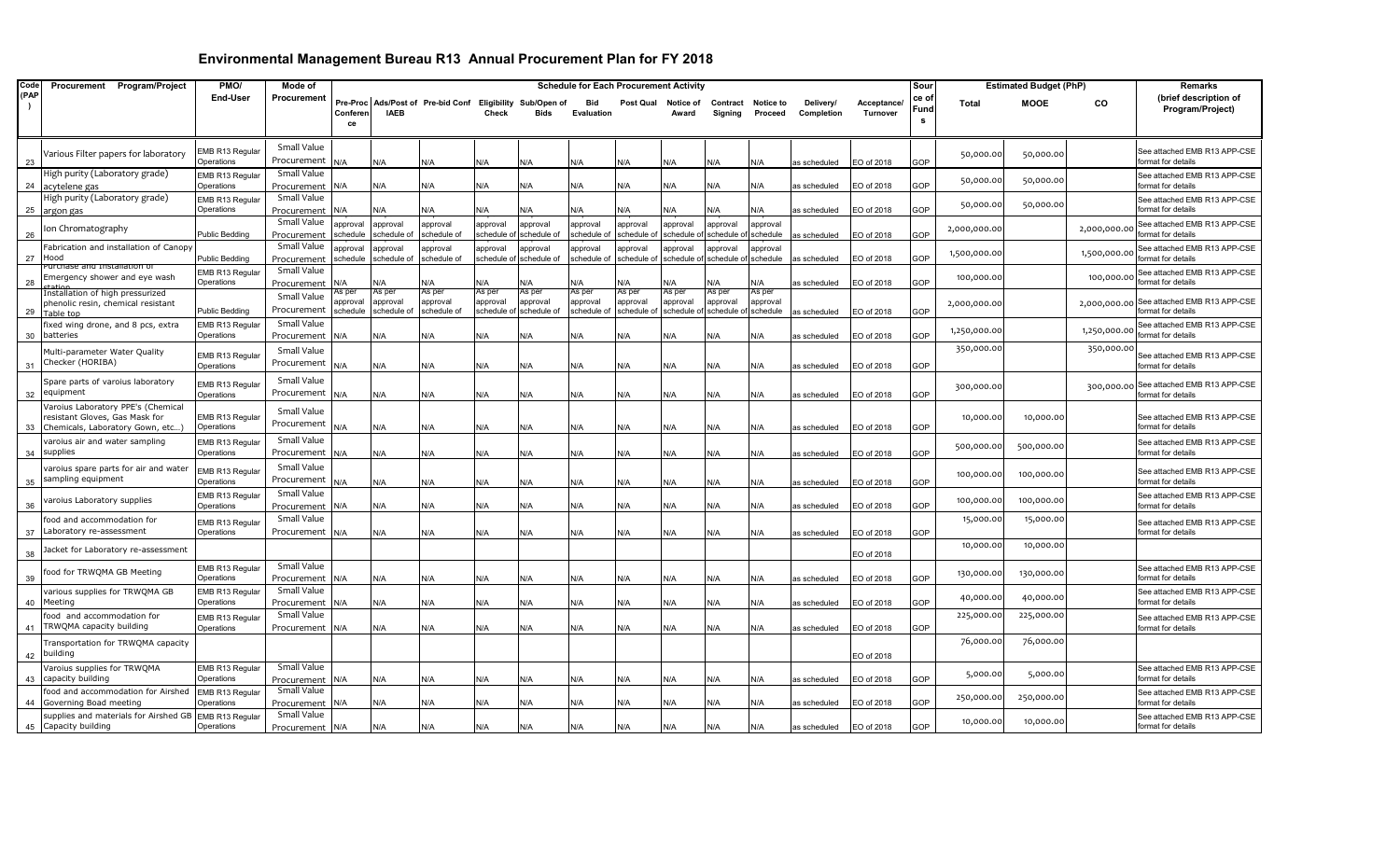| Code | Procurement Program/Project                                       | PMO/                          | Mode of                    |                      |                         |                                                  |                         |                         | <b>Schedule for Each Procurement Activity</b> |                        |                        |                        |                      |                         |                         | Sour         |              | <b>Estimated Budget (PhP)</b> |              | Remarks                                            |
|------|-------------------------------------------------------------------|-------------------------------|----------------------------|----------------------|-------------------------|--------------------------------------------------|-------------------------|-------------------------|-----------------------------------------------|------------------------|------------------------|------------------------|----------------------|-------------------------|-------------------------|--------------|--------------|-------------------------------|--------------|----------------------------------------------------|
| (PAP |                                                                   | End-User                      | Procurement                | Pre-Proc<br>Conferen | <b>IAEB</b>             | Ads/Post of Pre-bid Conf Eligibility Sub/Open of | Check                   | Bids                    | <b>Bid</b><br>Evaluation                      | Post Qual              | Notice of<br>Award     | Contract<br>Signing    | Notice to<br>Proceed | Delivery/<br>Completion | Acceptance/<br>Turnover | ce o<br>Fund | <b>Total</b> | <b>MOOE</b>                   | CO           | (brief description of<br>Program/Project)          |
|      |                                                                   |                               |                            | ce                   |                         |                                                  |                         |                         |                                               |                        |                        |                        |                      |                         |                         | - S          |              |                               |              |                                                    |
|      |                                                                   |                               | Small Value                |                      |                         |                                                  |                         |                         |                                               |                        |                        |                        |                      |                         |                         |              |              |                               |              |                                                    |
| 23   | Various Filter papers for laboratory                              | EMB R13 Regular<br>Operations | Procurement                | N/A                  | N/A                     | N/A                                              | N/A                     | N/A                     | N/A                                           | N/A                    | N/A                    | N/A                    | N/A                  | as scheduled            | EO of 2018              | GOP          | 50,000.00    | 50,000.00                     |              | See attached EMB R13 APP-CSE<br>format for details |
|      | High purity (Laboratory grade)                                    | EMB R13 Regular               | Small Value                |                      |                         |                                                  |                         |                         |                                               |                        |                        |                        |                      |                         |                         |              | 50,000.00    | 50,000.00                     |              | See attached EMB R13 APP-CSE                       |
| 24   | acytelene gas                                                     | Operations                    | Procurement                | N/A                  | N/A                     | N/A                                              | N/A                     | N/A                     | N/A                                           | N/A                    | N/A                    | ۷/A                    | N/A                  | as scheduled            | EO of 2018              | GOP          |              |                               |              | ormat for details                                  |
| 25   | High purity (Laboratory grade)<br>argon gas                       | EMB R13 Regular<br>Operations | Small Value<br>Procurement | N/A                  | N/A                     | N/A                                              | N/A                     | N/A                     | N/A                                           | <b>V/A</b>             | N/A                    | ۷A/                    | <b>N/A</b>           | as scheduled            | EO of 2018              | GOP          | 50,000.00    | 50,000.00                     |              | See attached EMB R13 APP-CSE<br>format for details |
|      | Ion Chromatography                                                |                               | Small Value                | approval             | approval                | approval                                         | approval                | approval                | approval                                      | approval               | pproval                | ipproval               | approval             |                         |                         |              | 2,000,000.00 |                               | 2,000,000.00 | See attached EMB R13 APP-CSE                       |
| 26   |                                                                   | Public Bedding                | Procurement                | schedule             | schedule of             | schedule of                                      | schedule o              | schedule of             | chedule                                       | schedule o             | schedule o             | schedule o             | schedule             | as scheduled            | EO of 2018              | GOP          |              |                               |              | ormat for details                                  |
| 27   | Fabrication and installation of Canopy<br>Hood                    | <b>Public Bedding</b>         | Small Value<br>Procurement | approval<br>schedule | approval<br>schedule of | approval<br>schedule of                          | approval<br>schedule of | approval<br>schedule of | approval<br>schedule (                        | approval<br>schedule c | approval<br>schedule o | ipproval<br>schedule o | approval<br>schedule | as scheduled            | EO of 2018              | GOP          | 1,500,000.00 |                               | 1,500,000.0  | See attached EMB R13 APP-CSE<br>format for details |
|      | urchase and Installation of                                       | EMB R13 Regular               | Small Value                |                      |                         |                                                  |                         |                         |                                               |                        |                        |                        |                      |                         |                         |              |              |                               |              | See attached EMB R13 APP-CSE                       |
| 28   | Emergency shower and eye wash                                     | Operations                    | Procurement                | N/A                  | ۷/A                     | <b>V/A</b>                                       | N/A                     | N/A                     | <b>V/A</b>                                    | <b>V/A</b>             | <b>N/A</b>             | ۷A/                    | ۷/A                  | is scheduled            | EO of 2018              | GOP          | 100,000.00   |                               | 100,000.00   | ormat for details                                  |
|      | Installation of high pressurized                                  |                               | Small Value                | As per<br>approval   | As per<br>approval      | As per<br>approval                               | As per<br>approval      | As per<br>approval      | As per<br>approval                            | As per<br>approval     | As per<br>approval     | As per<br>approval     | As per<br>approval   |                         |                         |              |              |                               |              | See attached EMB R13 APP-CSE                       |
| 29   | phenolic resin, chemical resistant<br>Table top                   | <b>Public Bedding</b>         | Procurement                | schedule             | schedule of             | schedule of                                      |                         | schedule of schedule of | schedule o                                    | schedule o             | schedule o             | schedule o             | schedule             | as scheduled            | EO of 2018              | GOP          | 2,000,000.00 |                               | 2,000,000.00 | ormat for details                                  |
|      | fixed wing drone, and 8 pcs, extra                                | EMB R13 Regular               | Small Value                |                      |                         |                                                  |                         |                         |                                               |                        |                        |                        |                      |                         |                         |              | 1,250,000.00 |                               | 1,250,000.00 | See attached EMB R13 APP-CSE                       |
| 30   | batteries                                                         | Operations                    | Procurement                | N/A                  | N/A                     | N/A                                              | N/A                     | N/A                     | ۷/A                                           | N/A                    | N/A                    | ۷/A                    | N/A                  | as scheduled            | EO of 2018              | GOP          |              |                               |              | ormat for details                                  |
|      | Multi-parameter Water Quality                                     | EMB R13 Regular               | Small Value                |                      |                         |                                                  |                         |                         |                                               |                        |                        |                        |                      |                         |                         |              | 350,000.00   |                               | 350,000.00   | ee attached EMB R13 APP-CSE                        |
| 31   | Checker (HORIBA)                                                  | Operations                    | Procurement                | N/A                  | N/A                     | N/A                                              | N/A                     | N/A                     | N/A                                           | N/A                    | N/A                    | N/A                    | ۷/A                  | as scheduled            | EO of 2018              | GOP          |              |                               |              | ormat for details                                  |
|      | Spare parts of varoius laboratory                                 | EMB R13 Regular               | Small Value                |                      |                         |                                                  |                         |                         |                                               |                        |                        |                        |                      |                         |                         |              | 300,000.00   |                               | 300,000.00   | See attached EMB R13 APP-CSE                       |
| 32   | equipment                                                         | Operations                    | Procurement                | N/A                  | N/A                     | N/A                                              | N/A                     | N/A                     | N/A                                           | N/A                    | N/A                    | N/A                    | N/A                  | as scheduled            | EO of 2018              | GOP          |              |                               |              | format for details                                 |
|      | Varoius Laboratory PPE's (Chemical                                |                               | Small Value                |                      |                         |                                                  |                         |                         |                                               |                        |                        |                        |                      |                         |                         |              |              |                               |              |                                                    |
| 33   | resistant Gloves, Gas Mask for<br>Chemicals, Laboratory Gown, etc | EMB R13 Regular<br>Operations | Procurement                | N/A                  | N/A                     | N/A                                              | N/A                     | N/A                     | <b>J/A</b>                                    | N/A                    | N/A                    | ۷/A                    | N/A                  | as scheduled            | EO of 2018              | GOP          | 10,000.00    | 10,000.00                     |              | See attached EMB R13 APP-CSE<br>ormat for details  |
|      | varoius air and water sampling                                    | EMB R13 Regular               | Small Value                |                      |                         |                                                  |                         |                         |                                               |                        |                        |                        |                      |                         |                         |              |              |                               |              | See attached EMB R13 APP-CSE                       |
| 34   | supplies                                                          | Operations                    | Procurement                | N/A                  | N/A                     | N/A                                              | N/A                     | N/A                     | N/A                                           | N/A                    | N/A                    | N/A                    | N/A                  | as scheduled            | EO of 2018              | GOP          | 500,000.00   | 500,000.00                    |              | ormat for details                                  |
|      | varoius spare parts for air and water                             | EMB R13 Regular               | Small Value                |                      |                         |                                                  |                         |                         |                                               |                        |                        |                        |                      |                         |                         |              |              |                               |              | See attached EMB R13 APP-CSE                       |
| 35   | sampling equipment                                                | Operations                    | Procurement                | <b>N/A</b>           | N/A                     | N/A                                              | N/A                     | N/A                     | N/A                                           | N/A                    | N/A                    | N/A                    | N/A                  | as scheduled            | EO of 2018              | GOP          | 100,000.00   | 100,000.00                    |              | ormat for details                                  |
|      | varoius Laboratory supplies                                       | EMB R13 Regular               | Small Value                |                      |                         |                                                  |                         |                         |                                               |                        |                        |                        |                      |                         |                         |              | 100,000.00   | 100,000.00                    |              | See attached EMB R13 APP-CSE                       |
| 36   |                                                                   | Operations                    | Procurement                | N/A                  | N/A                     | N/A                                              | N/A                     | N/A                     | N/A                                           | N/A                    | N/A                    | ۷/A                    | N/A                  | as scheduled            | EO of 2018              | GOP          |              |                               |              | ormat for details                                  |
|      | food and accommodation for                                        | EMB R13 Regular               | Small Value                |                      |                         |                                                  |                         |                         |                                               |                        |                        |                        |                      |                         |                         |              | 15,000.00    | 15,000.00                     |              | See attached EMB R13 APP-CSE                       |
| 37   | Laboratory re-assessment                                          | Operations                    | Procurement                | N/A                  | N/A                     | N/A                                              | N/A                     | N/A                     | N/A                                           | N/A                    | N/A                    | ۷/A                    | ۷/A                  | as scheduled            | EO of 2018              | GOP          |              |                               |              | ormat for details                                  |
| 38   | Jacket for Laboratory re-assessment                               |                               |                            |                      |                         |                                                  |                         |                         |                                               |                        |                        |                        |                      |                         | EO of 2018              |              | 10,000.00    | 10,000.00                     |              |                                                    |
|      | food for TRWQMA GB Meeting                                        | EMB R13 Regular               | Small Value                |                      |                         |                                                  |                         |                         |                                               |                        |                        |                        |                      |                         |                         |              | 130,000.00   | 130,000.00                    |              | See attached EMB R13 APP-CSE                       |
| 39   |                                                                   | Operations                    | Procurement                | N/A                  | N/A                     | N/A                                              | N/A                     | N/A                     | N/A                                           | N/A                    | N/A                    | N/A                    | N/A                  | as scheduled            | EO of 2018              | GOP          |              |                               |              | format for details                                 |
|      | various supplies for TRWQMA GB                                    | EMB R13 Regular               | Small Value                |                      |                         |                                                  |                         |                         |                                               |                        |                        |                        |                      |                         |                         |              | 40,000.00    | 40,000.00                     |              | See attached EMB R13 APP-CSE<br>ormat for details  |
| 40   | Meeting                                                           | Operations                    | Procurement<br>Small Value | N/A                  | N/A                     | N/A                                              | N/A                     | N/A                     | ۷/A                                           | N/A                    | N/A                    | ۷/A                    | N/A                  | as scheduled            | EO of 2018              | GOP          |              |                               |              |                                                    |
| 41   | food and accommodation for<br>TRWQMA capacity building            | EMB R13 Regular<br>Operations | Procurement                | N/A                  | N/A                     | N/A                                              | N/A                     | N/A                     | N/A                                           | N/A                    | N/A                    | N/A                    | N/A                  | as scheduled            | EO of 2018              | GOP          | 225,000.00   | 225,000.00                    |              | See attached EMB R13 APP-CSE<br>format for details |
|      | Transportation for TRWQMA capacity                                |                               |                            |                      |                         |                                                  |                         |                         |                                               |                        |                        |                        |                      |                         |                         |              | 76,000.00    | 76,000.00                     |              |                                                    |
| 42   | building                                                          |                               |                            |                      |                         |                                                  |                         |                         |                                               |                        |                        |                        |                      |                         | EO of 2018              |              |              |                               |              |                                                    |
|      | Varoius supplies for TRWQMA                                       | EMB R13 Regular               | Small Value                |                      |                         |                                                  |                         |                         |                                               |                        |                        |                        |                      |                         |                         |              | 5,000.00     | 5,000.00                      |              | See attached EMB R13 APP-CSE                       |
| 43   | capacity building                                                 | Operations                    | Procurement                | N/A                  | N/A                     | N/A                                              | N/A                     | N/A                     | N/A                                           | N/A                    | N/A                    | N/A                    | N/A                  | as scheduled            | EO of 2018              | GOP          |              |                               |              | format for details                                 |
| 44   | food and accommodation for Airshed<br>Governing Boad meeting      | EMB R13 Regular<br>Operations | Small Value<br>Procurement | N/A                  | N/A                     | N/A                                              | N/A                     | N/A                     | <b>J/A</b>                                    | N/A                    | N/A                    | ۷/A                    | N/A                  | as scheduled            | EO of 2018              | GOP          | 250,000.00   | 250,000.00                    |              | See attached EMB R13 APP-CSE<br>ormat for details  |
|      | supplies and materials for Airshed GB                             | EMB R13 Regular               | Small Value                |                      |                         |                                                  |                         |                         |                                               |                        |                        |                        |                      |                         |                         |              | 10,000.00    | 10,000.00                     |              | See attached EMB R13 APP-CSE                       |
| 45   | Capacity building                                                 | Operations                    | Procurement                | N/A                  | N/A                     | N/A                                              | N/A                     | N/A                     | N/A                                           | N/A                    | N/A                    | N/A                    | N/A                  | as scheduled            | EO of 2018              | GOP          |              |                               |              | format for details                                 |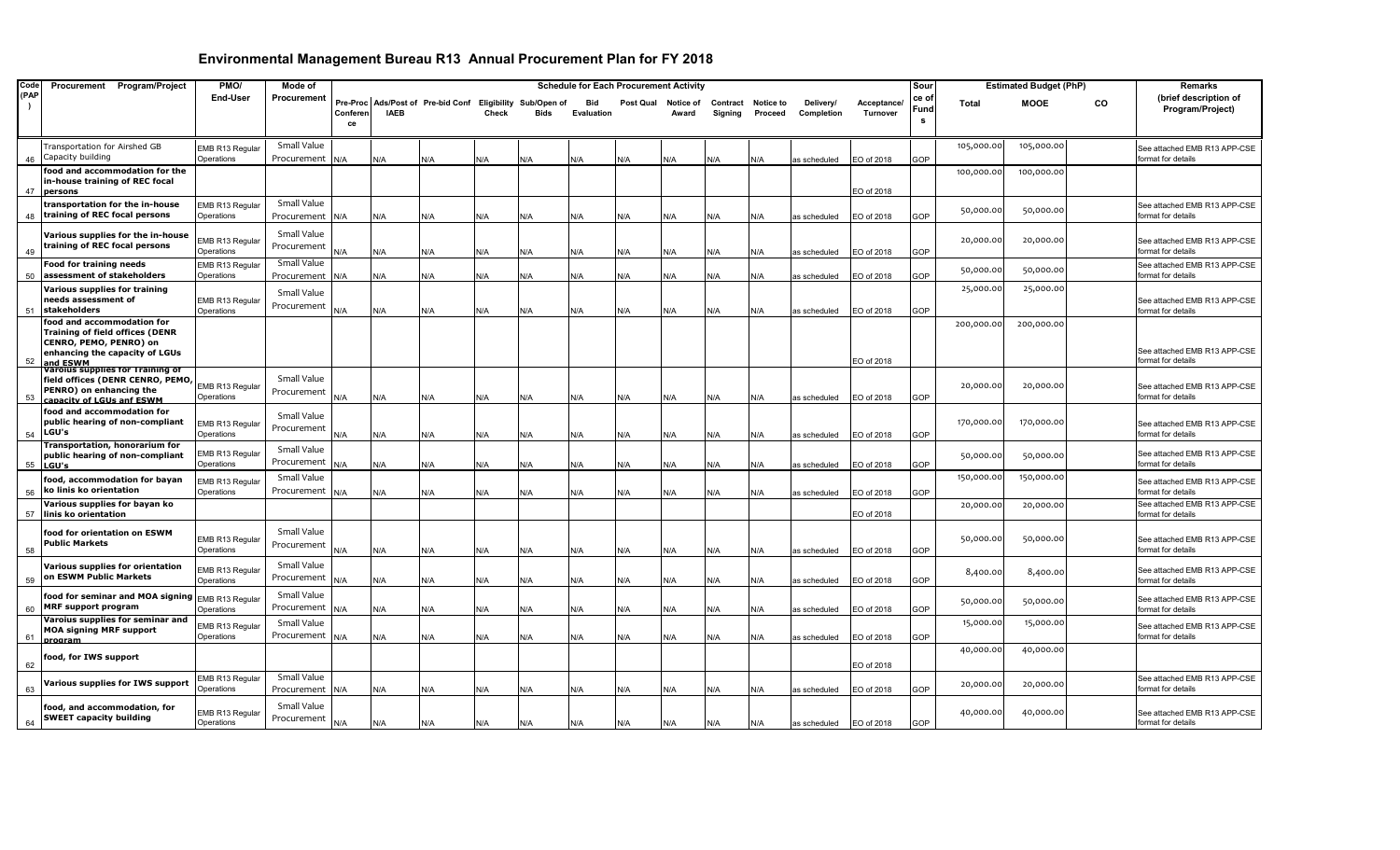| Code | Procurement Program/Project                                                                                                                  | PMO/                          | Mode of                        |                            |             |                                                  |              |      | <b>Schedule for Each Procurement Activity</b> |           |                    |                     |                             |                         |                         | Sour              |            | <b>Estimated Budget (PhP)</b> |           | Remarks                                            |
|------|----------------------------------------------------------------------------------------------------------------------------------------------|-------------------------------|--------------------------------|----------------------------|-------------|--------------------------------------------------|--------------|------|-----------------------------------------------|-----------|--------------------|---------------------|-----------------------------|-------------------------|-------------------------|-------------------|------------|-------------------------------|-----------|----------------------------------------------------|
| (PAP |                                                                                                                                              | End-User                      | Procurement                    | Pre-Proc<br>Conferen<br>ce | <b>IAEB</b> | Ads/Post of Pre-bid Conf Eligibility Sub/Open of | <b>Check</b> | Bids | Bid<br>Evaluation                             | Post Qual | Notice of<br>Award | Contract<br>Signing | <b>Notice to</b><br>Proceed | Delivery/<br>Completion | Acceptance/<br>Turnover | ce o<br>Fund<br>s | Total      | <b>MOOE</b>                   | <b>CO</b> | (brief description of<br>Program/Project)          |
| 46   | Transportation for Airshed GB<br>Capacity building                                                                                           | EMB R13 Regular<br>Operations | Small Value<br>Procurement     | N/A                        | N/A         | N/A                                              | N/A          | N/A  | N/A                                           | N/A       | N/A                | N/A                 | N/A                         | as scheduled            | EO of 2018              | GOP               | 105,000.00 | 105,000.00                    |           | See attached EMB R13 APP-CSE<br>format for details |
| 47   | food and accommodation for the<br>n-house training of REC focal<br>persons                                                                   |                               |                                |                            |             |                                                  |              |      |                                               |           |                    |                     |                             |                         | EO of 2018              |                   | 100,000.00 | 100,000.00                    |           |                                                    |
| 48   | transportation for the in-house<br>training of REC focal persons                                                                             | EMB R13 Regular<br>Operations | Small Value<br>Procurement N/A |                            | N/A         | N/A                                              | N/A          | N/A  | N/A                                           | N/A       | N/A                | N/A                 | N/A                         | as scheduled            | EO of 2018              | GOP               | 50,000.00  | 50,000.00                     |           | See attached EMB R13 APP-CSE<br>format for details |
| 49   | Various supplies for the in-house<br>training of REC focal persons                                                                           | EMB R13 Regular<br>Operations | Small Value<br>Procurement     | N/A                        | N/A         | N/A                                              | N/A          | N/A  | N/A                                           | N/A       | N/A                | N/A                 | N/A                         | as scheduled            | EO of 2018              | GOP               | 20,000.00  | 20,000.00                     |           | See attached EMB R13 APP-CSE<br>format for details |
| 50   | <b>Food for training needs</b><br>assessment of stakeholders                                                                                 | EMB R13 Regular<br>Operations | Small Value<br>Procurement     | N/A                        | N/A         | N/A                                              | N/A          | N/A  | N/A                                           | N/A       | N/A                | N/A                 | N/A                         | as scheduled            | EO of 2018              | GOP               | 50,000.0   | 50,000.00                     |           | See attached EMB R13 APP-CSE<br>format for details |
| 51   | Various supplies for training<br>needs assessment of<br>stakeholders                                                                         | EMB R13 Regular<br>Operations | Small Value<br>Procurement     | N/A                        | N/A         | N/A                                              | N/A          | N/A  | N/A                                           | N/A       | N/A                | N/A                 | N/A                         | as scheduled            | EO of 2018              | GOP               | 25,000.00  | 25,000.00                     |           | See attached EMB R13 APP-CSE<br>format for details |
| 52   | food and accommodation for<br><b>Training of field offices (DENR</b><br>CENRO, PEMO, PENRO) on<br>enhancing the capacity of LGUs<br>and ESWM |                               |                                |                            |             |                                                  |              |      |                                               |           |                    |                     |                             |                         | EO of 2018              |                   | 200,000.00 | 200,000.00                    |           | See attached EMB R13 APP-CSE<br>format for details |
| 53   | Varoius supplies for Training of<br>field offices (DENR CENRO, PEMO,<br>PENRO) on enhancing the<br>anacity of LGLIs anf FSWN                 | EMB R13 Regular<br>Operations | Small Value<br>Procurement     | N/A                        | N/A         | N/A                                              | N/A          | N/A  | N/A                                           | N/A       | N/A                | N/A                 | N/A                         | as scheduled            | EO of 2018              | GOP               | 20,000.00  | 20,000.00                     |           | See attached EMB R13 APP-CSE<br>format for details |
| 54   | food and accommodation for<br>public hearing of non-compliant<br>LGU's                                                                       | EMB R13 Regular<br>Operations | Small Value<br>Procurement     | N/A                        | N/A         | N/A                                              | N/A          | N/A  | N/A                                           | N/A       | N/A                | N/A                 | N/A                         | as scheduled            | EO of 2018              | GOP               | 170,000.00 | 170,000.00                    |           | See attached EMB R13 APP-CSE<br>format for details |
| 55   | Transportation, honorarium for<br>public hearing of non-compliant<br>LGU's                                                                   | EMB R13 Regular<br>Operations | Small Value<br>Procurement     | <b>N/A</b>                 | ۷/A         | N/A                                              | N/A          | N/A  | N/A                                           | N/A       | N/A                | N/A                 | N/A                         | as scheduled            | EO of 2018              | GOP               | 50,000.00  | 50,000.00                     |           | See attached EMB R13 APP-CSE<br>format for details |
| 56   | food, accommodation for bayan<br>ko linis ko orientation                                                                                     | EMB R13 Regular<br>Operations | Small Value<br>Procurement     | N/A                        | N/A         | N/A                                              | N/A          | N/A  | N/A                                           | N/A       | N/A                | N/A                 | N/A                         | as scheduled            | EO of 2018              | GOP               | 150,000.00 | 150,000.00                    |           | See attached EMB R13 APP-CSE<br>format for details |
| 57   | Various supplies for bayan ko<br>linis ko orientation                                                                                        |                               |                                |                            |             |                                                  |              |      |                                               |           |                    |                     |                             |                         | EO of 2018              |                   | 20,000.00  | 20,000.00                     |           | See attached EMB R13 APP-CSE<br>format for details |
| 58   | food for orientation on ESWM<br><b>Public Markets</b>                                                                                        | EMB R13 Regular<br>Operations | Small Value<br>Procurement     | N/A                        | N/A         | N/A                                              | N/A          | N/A  | N/A                                           | N/A       | N/A                | N/A                 | N/A                         | as scheduled            | EO of 2018              | GOP               | 50,000.00  | 50,000.00                     |           | See attached EMB R13 APP-CSE<br>format for details |
| 59   | Various supplies for orientation<br>on ESWM Public Markets                                                                                   | EMB R13 Regular<br>Operations | Small Value<br>Procurement     | N/A                        | N/A         | N/A                                              | N/A          | N/A  | N/A                                           | N/A       | N/A                | N/A                 | N/A                         | as scheduled            | EO of 2018              | GOP               | 8,400.00   | 8,400.00                      |           | See attached EMB R13 APP-CSE<br>format for details |
| 60   | food for seminar and MOA signing EMB R13 Regular<br><b>MRF support program</b>                                                               | Operations                    | Small Value<br>Procurement     | N/A                        | N/A         | N/A                                              | N/A          | N/A  | N/A                                           | N/A       | N/A                | N/A                 | N/A                         | as scheduled            | EO of 2018              | GOP               | 50,000.00  | 50,000.00                     |           | See attached EMB R13 APP-CSE<br>format for details |
| 61   | Varoius supplies for seminar and<br><b>MOA signing MRF support</b><br>program                                                                | EMB R13 Regular<br>Operations | Small Value<br>Procurement     | N/A                        | N/A         | N/A                                              | N/A          | N/A  | N/A                                           | N/A       | N/A                | N/A                 | <b>N/A</b>                  | as scheduled            | EO of 2018              | GOP               | 15,000.00  | 15,000.00                     |           | See attached EMB R13 APP-CSE<br>format for details |
| 62   | food, for IWS support                                                                                                                        |                               |                                |                            |             |                                                  |              |      |                                               |           |                    |                     |                             |                         | EO of 2018              |                   | 40,000.00  | 40,000.00                     |           |                                                    |
| 63   | Various supplies for IWS support                                                                                                             | EMB R13 Regular<br>Operations | Small Value<br>Procurement     | N/A                        | N/A         | N/A                                              | N/A          | N/A  | N/A                                           | N/A       | N/A                | N/A                 | N/A                         | as scheduled            | EO of 2018              | GOP               | 20,000.00  | 20,000.00                     |           | See attached EMB R13 APP-CSE<br>format for details |
| 64   | food, and accommodation, for<br><b>SWEET capacity building</b>                                                                               | EMB R13 Regular<br>Operations | Small Value<br>Procurement     | N/A                        | N/A         | N/A                                              | N/A          | N/A  | N/A                                           | N/A       | N/A                | N/A                 | N/A                         | as scheduled            | EO of 2018              | GOP               | 40,000.00  | 40,000.00                     |           | See attached EMB R13 APP-CSE<br>format for details |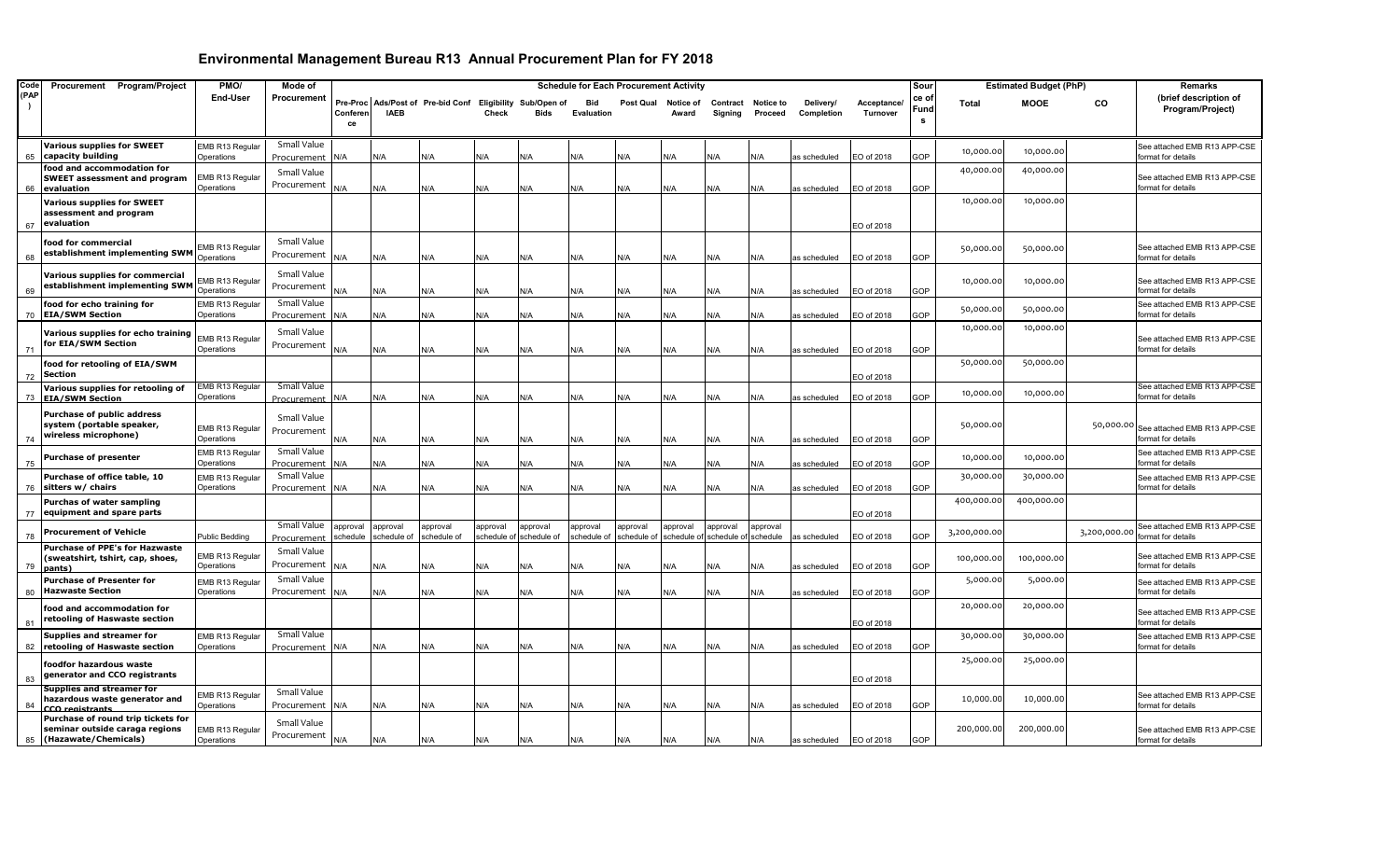| Code                  | Procurement Program/Project                                                                  | PMO/                                 | Mode of                        |                      |                         |                                                           |                         |                         | <b>Schedule for Each Procurement Activity</b> |                         |                         |                        |                      |                         |                         | Sour              |              | <b>Estimated Budget (PhP)</b> |              | Remarks                                            |
|-----------------------|----------------------------------------------------------------------------------------------|--------------------------------------|--------------------------------|----------------------|-------------------------|-----------------------------------------------------------|-------------------------|-------------------------|-----------------------------------------------|-------------------------|-------------------------|------------------------|----------------------|-------------------------|-------------------------|-------------------|--------------|-------------------------------|--------------|----------------------------------------------------|
| (PAP<br>$\rightarrow$ |                                                                                              | End-User                             | Procurement                    | Conferen<br>ce       | <b>IAEB</b>             | Pre-Proc Ads/Post of Pre-bid Conf Eligibility Sub/Open of | Check                   | Bids                    | <b>Bid</b><br>Evaluation                      | Post Qual               | Notice of<br>Award      | Contract<br>Signing    | Notice to<br>Proceed | Delivery/<br>Completion | Acceptance/<br>Turnover | ce o<br>Fund<br>s | <b>Total</b> | <b>MOOE</b>                   | CO           | (brief description of<br>Program/Project)          |
|                       |                                                                                              |                                      |                                |                      |                         |                                                           |                         |                         |                                               |                         |                         |                        |                      |                         |                         |                   |              |                               |              |                                                    |
| 65                    | <b>Various supplies for SWEET</b><br>capacity building                                       | EMB R13 Regular<br>Operations        | Small Value<br>Procurement N/A |                      | N/A                     | N/A                                                       | N/A                     | ۷/A                     | N/A                                           | N/A                     | N/A                     | N/A                    | N/A                  | as scheduled            | EO of 2018              | GOP               | 10,000.00    | 10,000.00                     |              | See attached EMB R13 APP-CSE<br>format for details |
| 66                    | food and accommodation for<br><b>SWEET assessment and program</b>                            | EMB R13 Regular<br>Operations        | Small Value<br>Procurement N/A |                      | N/A                     | N/A                                                       |                         | N/A                     | N/A                                           |                         | N/A                     |                        |                      |                         | EO of 2018              | GOP               | 40,000.00    | 40,000.00                     |              | See attached EMB R13 APP-CSE<br>format for details |
|                       | evaluation<br><b>Various supplies for SWEET</b>                                              |                                      |                                |                      |                         |                                                           | N/A                     |                         |                                               | N/A                     |                         | N/A                    | N/A                  | as scheduled            |                         |                   | 10,000.00    | 10,000.00                     |              |                                                    |
| 67                    | assessment and program<br>evaluation                                                         |                                      |                                |                      |                         |                                                           |                         |                         |                                               |                         |                         |                        |                      |                         | EO of 2018              |                   |              |                               |              |                                                    |
| 68                    | food for commercial<br>establishment implementing SWM Operations                             | EMB R13 Regular                      | Small Value<br>Procurement     | N/A                  | N/A                     | N/A                                                       | N/A                     | N/A                     | N/A                                           | N/A                     | N/A                     | N/A                    | N/A                  | as scheduled            | EO of 2018              | GOP               | 50,000.00    | 50,000.00                     |              | See attached EMB R13 APP-CSE<br>format for details |
|                       | Various supplies for commercial<br>establishment implementing SWM                            | MB R13 Regular                       | Small Value<br>Procurement     |                      |                         |                                                           |                         |                         |                                               |                         |                         |                        |                      |                         |                         |                   | 10,000.00    | 10,000.00                     |              | See attached EMB R13 APP-CSE                       |
| 69                    |                                                                                              | Operations                           |                                | N/A                  | N/A                     | N/A                                                       | N/A                     | <b>A/</b>               | N/A                                           | N/A                     | N/A                     | N/A                    | N/A                  | as scheduled            | EO of 2018              | GOP               |              |                               |              | format for details                                 |
| 70                    | food for echo training for<br><b>EIA/SWM Section</b>                                         | EMB R13 Regular<br>Operations        | Small Value<br>Procurement N/A |                      | ۷/A                     | N/A                                                       | N/A                     | ۷/A                     | N/A                                           | N/A                     | N/A                     | N/A                    | N/A                  | as scheduled            | EO of 2018              | GOP               | 50,000.00    | 50,000.00                     |              | See attached EMB R13 APP-CSE<br>ormat for details  |
|                       | Various supplies for echo training<br>for EIA/SWM Section                                    | EMB R13 Regular                      | Small Value<br>Procurement     |                      |                         |                                                           |                         |                         |                                               |                         |                         |                        |                      |                         |                         |                   | 10,000.00    | 10,000.00                     |              | See attached EMB R13 APP-CSE                       |
| 71                    |                                                                                              | Operations                           |                                | N/A                  | N/A                     | N/A                                                       | N/A                     | ۷A/                     | N/A                                           | N/A                     | N/A                     | N/A                    | N/A                  | as scheduled            | EO of 2018              | GOP               |              |                               |              | format for details                                 |
| 72                    | food for retooling of EIA/SWM<br>Section                                                     |                                      |                                |                      |                         |                                                           |                         |                         |                                               |                         |                         |                        |                      |                         | EO of 2018              |                   | 50,000.00    | 50,000.00                     |              |                                                    |
| 73                    | Various supplies for retooling of<br><b>EIA/SWM Section</b>                                  | EMB R13 Regular<br>Operations        | Small Value<br>Procurement_N/A |                      | N/A                     | N/A                                                       | N/A                     | N/A                     | N/A                                           | N/A                     | N/A                     | N/A                    | N/A                  | as scheduled            | EO of 2018              | GOP               | 10,000.00    | 10,000.00                     |              | See attached EMB R13 APP-CSE<br>format for details |
| 74                    | Purchase of public address<br>system (portable speaker,<br>wireless microphone)              | EMB R13 Regular<br>Operations        | Small Value<br>Procurement     | N/A                  | N/A                     | N/A                                                       | N/A                     | N/A                     | N/A                                           | N/A                     | N/A                     | N/A                    | N/A                  | as scheduled            | EO of 2018              | GOP               | 50,000.00    |                               | 50,000.00    | See attached EMB R13 APP-CSE<br>format for details |
| 75                    | <b>Purchase of presenter</b>                                                                 | EMB R13 Regular<br>Operations        | Small Value<br>Procurement N/A |                      | N/A                     | N/A                                                       | N/A                     | N/A                     | N/A                                           | N/A                     | N/A                     | N/A                    | N/A                  | as scheduled            | EO of 2018              | GOP               | 10,000.00    | 10,000.00                     |              | See attached EMB R13 APP-CSE<br>format for details |
|                       | Purchase of office table, 10                                                                 | EMB R13 Regular                      | Small Value                    |                      |                         |                                                           |                         |                         |                                               |                         |                         |                        |                      |                         |                         |                   | 30,000.00    | 30,000.00                     |              | See attached EMB R13 APP-CSE                       |
| 76                    | sitters w/ chairs                                                                            | Operations                           | Procurement                    | N/A                  | N/A                     | N/A                                                       | N/A                     | ۷A/                     | N/A                                           | N/A                     | N/A                     | N/A                    | N/A                  | as scheduled            | EO of 2018              | GOP               |              |                               |              | format for details                                 |
| 77                    | Purchas of water sampling<br>equipment and spare parts                                       |                                      |                                |                      |                         |                                                           |                         |                         |                                               |                         |                         |                        |                      |                         | EO of 2018              |                   | 400,000.00   | 400,000.00                    |              |                                                    |
| 78                    | <b>Procurement of Vehicle</b>                                                                | Public Bedding                       | Small Value<br>Procurement     | approval<br>schedule | approval<br>schedule of | approval<br>schedule of                                   | approval<br>schedule of | approval<br>schedule of | approval<br>schedule of                       | approval<br>schedule of | approval<br>schedule of | approval<br>schedule o | approval<br>schedule | as scheduled            | EO of 2018              | GOP               | 3,200,000.00 |                               | 3,200,000.00 | See attached EMB R13 APP-CSE<br>format for details |
| 79                    | Purchase of PPE's for Hazwaste<br>(sweatshirt, tshirt, cap, shoes,<br><u>pants)</u>          | EMB R13 Regular<br>Operations        | Small Value<br>Procurement     | N/A                  | N/A                     | N/A                                                       | N/A                     | N/A                     | N/A                                           | N/A                     | N/A                     | N/A                    | N/A                  | as scheduled            | EO of 2018              | GOP               | 100,000.00   | 100,000.00                    |              | See attached EMB R13 APP-CSE<br>format for details |
| 80                    | <b>Purchase of Presenter for</b><br><b>Hazwaste Section</b>                                  | EMB R13 Regular<br>Operations        | Small Value<br>Procurement N/A |                      | N/A                     | N/A                                                       | N/A                     | N/A                     | N/A                                           | N/A                     | N/A                     | N/A                    | N/A                  | as scheduled            | EO of 2018              | GOP               | 5,000.00     | 5,000.00                      |              | See attached EMB R13 APP-CSE<br>ormat for details  |
| 81                    | food and accommodation for<br>retooling of Haswaste section                                  |                                      |                                |                      |                         |                                                           |                         |                         |                                               |                         |                         |                        |                      |                         | EO of 2018              |                   | 20,000.00    | 20,000.00                     |              | See attached EMB R13 APP-CSE<br>format for details |
| 82                    | Supplies and streamer for<br>retooling of Haswaste section                                   | <b>EMB R13 Regular</b><br>Operations | Small Value<br>Procurement N/A |                      | N/A                     | N/A                                                       | N/A                     | N/A                     | N/A                                           | N/A                     | N/A                     | N/A                    | N/A                  | as scheduled            | EO of 2018              | GOP               | 30,000.00    | 30,000.00                     |              | See attached EMB R13 APP-CSE<br>format for details |
| 83                    | foodfor hazardous waste<br>generator and CCO registrants                                     |                                      |                                |                      |                         |                                                           |                         |                         |                                               |                         |                         |                        |                      |                         | EO of 2018              |                   | 25,000.00    | 25,000.00                     |              |                                                    |
| 84                    | <b>Supplies and streamer for</b><br>hazardous waste generator and<br><b>CCO</b> registrants  | EMB R13 Regular<br>Operations        | Small Value<br>Procurement N/A |                      | N/A                     | N/A                                                       | N/A                     | <b>A</b>                | N/A                                           | N/A                     | N/A                     | N/A                    | N/A                  | as scheduled            | EO of 2018              | GOP               | 10,000.00    | 10,000.00                     |              | See attached EMB R13 APP-CSE<br>format for details |
| 85                    | Purchase of round trip tickets for<br>seminar outside caraga regions<br>(Hazawate/Chemicals) | EMB R13 Regular<br>Operations        | Small Value<br>Procurement     | N/A                  | N/A                     | N/A                                                       | N/A                     | N/A                     | N/A                                           | N/A                     | N/A                     | N/A                    | N/A                  | as scheduled            | EO of 2018              | GOP               | 200,000.00   | 200,000.00                    |              | See attached EMB R13 APP-CSE<br>format for details |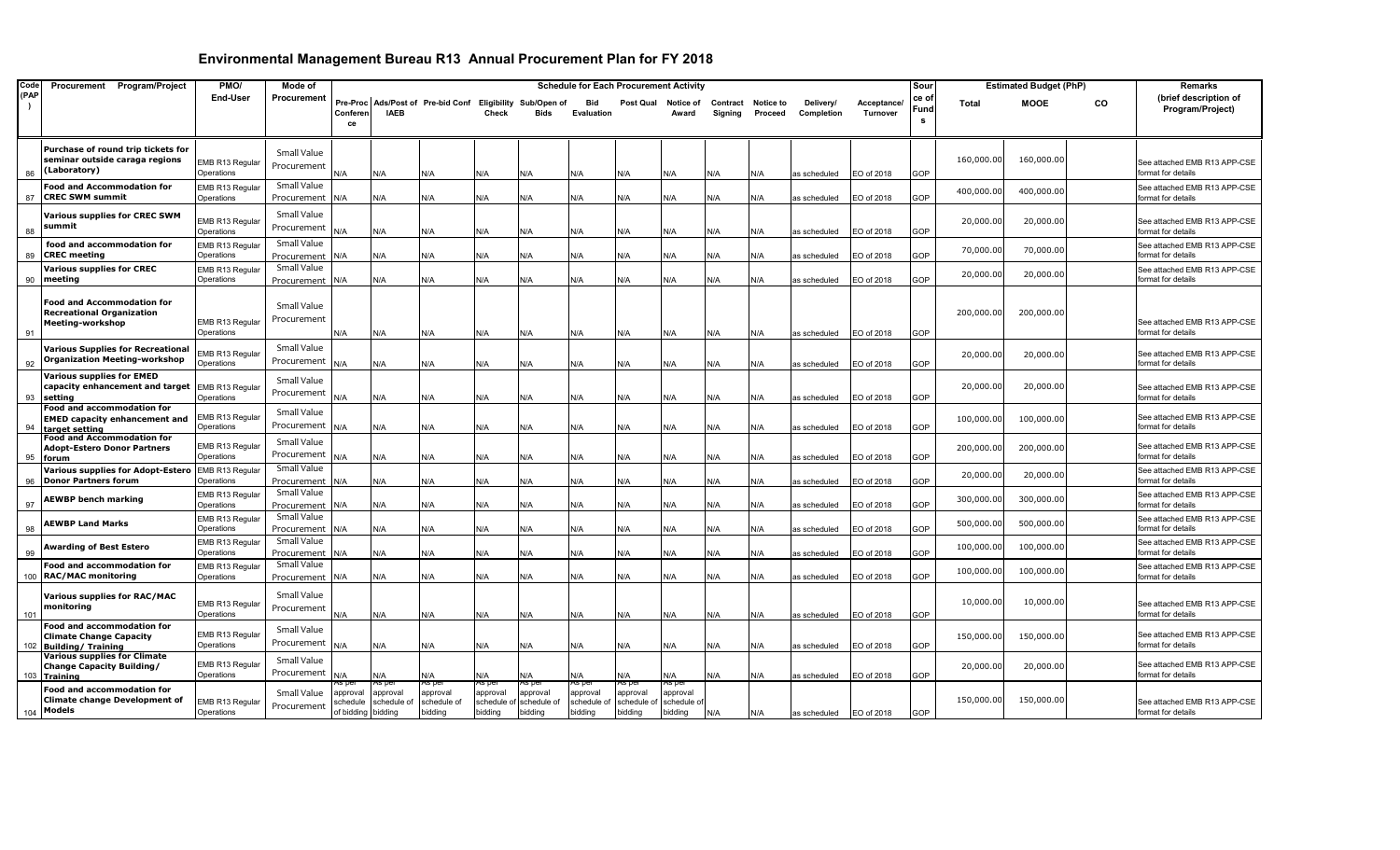| Code | Procurement Program/Project                                               | PMO/                          | Mode of                    |            |                   |                                                           |                   |                   | <b>Schedule for Each Procurement Activity</b> |                     |                   |                    |         |              |                   | Sour     |              | <b>Estimated Budget (PhP)</b> |           | <b>Remarks</b>                                     |
|------|---------------------------------------------------------------------------|-------------------------------|----------------------------|------------|-------------------|-----------------------------------------------------------|-------------------|-------------------|-----------------------------------------------|---------------------|-------------------|--------------------|---------|--------------|-------------------|----------|--------------|-------------------------------|-----------|----------------------------------------------------|
| (PAP |                                                                           | End-User                      | Procurement                |            |                   | Pre-Proc Ads/Post of Pre-bid Conf Eligibility Sub/Open of |                   |                   | <b>Bid</b>                                    | Post Qual Notice of |                   | Contract Notice to |         | Delivery/    | <b>Acceptance</b> | ce of    | <b>Total</b> | <b>MOOE</b>                   | <b>CO</b> | (brief description of                              |
|      |                                                                           |                               |                            | Conferen   | <b>IAEB</b>       |                                                           | Check             | Bids              | Evaluation                                    |                     | Award             | Signing            | Proceed | Completion   | Turnover          | Fund     |              |                               |           | Program/Project)                                   |
|      |                                                                           |                               |                            | ce         |                   |                                                           |                   |                   |                                               |                     |                   |                    |         |              |                   | <b>S</b> |              |                               |           |                                                    |
|      |                                                                           |                               |                            |            |                   |                                                           |                   |                   |                                               |                     |                   |                    |         |              |                   |          |              |                               |           |                                                    |
|      | Purchase of round trip tickets for<br>seminar outside caraga regions      |                               | Small Value                |            |                   |                                                           |                   |                   |                                               |                     |                   |                    |         |              |                   |          | 160,000.00   | 160,000.00                    |           |                                                    |
| 86   | (Laboratory)                                                              | EMB R13 Regular<br>Operations | Procurement                | N/A        | N/A               | N/A                                                       | N/A               | N/A               | N/A                                           | N/A                 | N/A               | N/A                | N/A     | as scheduled | EO of 2018        | GOP      |              |                               |           | See attached EMB R13 APP-CSE<br>format for details |
|      | <b>Food and Accommodation for</b>                                         | EMB R13 Regular               | Small Value                |            |                   |                                                           |                   |                   |                                               |                     |                   |                    |         |              |                   |          |              |                               |           | See attached EMB R13 APP-CSE                       |
| 87   | <b>CREC SWM summit</b>                                                    | Operations                    | Procurement                | N/A        | N/A               | N/A                                                       | N/A               | N/A               | N/A                                           | N/A                 | N/A               | N/A                | N/A     | as scheduled | EO of 2018        | GOP      | 400,000.00   | 400,000.00                    |           | format for details                                 |
|      | <b>Various supplies for CREC SWM</b>                                      |                               | Small Value                |            |                   |                                                           |                   |                   |                                               |                     |                   |                    |         |              |                   |          |              |                               |           |                                                    |
|      | summit                                                                    | EMB R13 Regular               | Procurement                |            |                   |                                                           |                   |                   |                                               |                     |                   |                    |         |              |                   |          | 20,000.00    | 20,000.00                     |           | See attached EMB R13 APP-CSE                       |
| 88   |                                                                           | Operations                    |                            | N/A        | N/A               | N/A                                                       | N/A               | N/A               | N/A                                           | N/A                 | N/A               | N/A                | N/A     | as scheduled | EO of 2018        | GOP      |              |                               |           | format for details                                 |
| 89   | food and accommodation for<br><b>CREC</b> meeting                         | EMB R13 Regular<br>Operations | Small Value<br>Procurement | N/A        | N/A               | N/A                                                       | N/A               | N/A               | N/A                                           | N/A                 | N/A               | N/A                | N/A     | as scheduled | EO of 2018        | GOP      | 70,000.00    | 70,000.00                     |           | See attached EMB R13 APP-CSE<br>format for details |
|      | <b>Various supplies for CREC</b>                                          | EMB R13 Regular               | Small Value                |            |                   |                                                           |                   |                   |                                               |                     |                   |                    |         |              |                   |          |              |                               |           | See attached EMB R13 APP-CSE                       |
| 90   | meeting                                                                   | Operations                    | Procurement                | N/A        | N/A               | N/A                                                       | N/A               | N/A               | N/A                                           | N/A                 | N/A               | N/A                | N/A     | as scheduled | EO of 2018        | GOP      | 20,000.00    | 20,000.00                     |           | format for details                                 |
|      |                                                                           |                               |                            |            |                   |                                                           |                   |                   |                                               |                     |                   |                    |         |              |                   |          |              |                               |           |                                                    |
|      | <b>Food and Accommodation for</b>                                         |                               | Small Value                |            |                   |                                                           |                   |                   |                                               |                     |                   |                    |         |              |                   |          |              |                               |           |                                                    |
|      | <b>Recreational Organization</b><br>Meeting-workshop                      | EMB R13 Regular               | Procurement                |            |                   |                                                           |                   |                   |                                               |                     |                   |                    |         |              |                   |          | 200,000.00   | 200,000.00                    |           | See attached EMB R13 APP-CSE                       |
| 91   |                                                                           | Operations                    |                            | N/A        | N/A               | N/A                                                       | N/A               | N/A               | N/A                                           | N/A                 | N/A               | N/A                | N/A     | as scheduled | EO of 2018        | GOP      |              |                               |           | format for details                                 |
|      | <b>Various Supplies for Recreational</b>                                  |                               | Small Value                |            |                   |                                                           |                   |                   |                                               |                     |                   |                    |         |              |                   |          |              |                               |           |                                                    |
| 92   | <b>Organization Meeting-workshop</b>                                      | EMB R13 Regular<br>Operations | Procurement                | N/A        | N/A               | N/A                                                       | N/A               | N/A               | N/A                                           | N/A                 | N/A               | N/A                | N/A     | as scheduled | EO of 2018        | GOP      | 20,000.00    | 20,000.00                     |           | See attached EMB R13 APP-CSE<br>format for details |
|      | <b>Various supplies for EMED</b>                                          |                               |                            |            |                   |                                                           |                   |                   |                                               |                     |                   |                    |         |              |                   |          |              |                               |           |                                                    |
|      | capacity enhancement and target EMB R13 Regular                           |                               | Small Value                |            |                   |                                                           |                   |                   |                                               |                     |                   |                    |         |              |                   |          | 20,000.00    | 20,000.00                     |           | See attached EMB R13 APP-CSE                       |
| 93   | setting                                                                   | Operations                    | Procurement                | N/A        | N/A               | N/A                                                       | N/A               | N/A               | N/A                                           | N/A                 | N/A               | N/A                | N/A     | as scheduled | EO of 2018        | GOP      |              |                               |           | format for details                                 |
|      | <b>Food and accommodation for</b><br><b>EMED capacity enhancement and</b> | EMB R13 Regular               | Small Value                |            |                   |                                                           |                   |                   |                                               |                     |                   |                    |         |              |                   |          | 100,000.00   | 100,000.00                    |           | See attached EMB R13 APP-CSE                       |
| 94   | target setting                                                            | Operations                    | Procurement                | N/A        | N/A               | N/A                                                       | N/A               | N/A               | N/A                                           | N/A                 | N/A               | N/A                | N/A     | as scheduled | EO of 2018        | GOP      |              |                               |           | format for details                                 |
|      | <b>Food and Accommodation for</b>                                         | EMB R13 Regular               | Small Value                |            |                   |                                                           |                   |                   |                                               |                     |                   |                    |         |              |                   |          | 200,000.00   | 200,000.00                    |           | See attached EMB R13 APP-CSE                       |
| 95   | <b>Adopt-Estero Donor Partners</b><br><u>forum</u>                        | Operations                    | Procurement                | <b>N/A</b> | N/A               | N/A                                                       | N/A               | N/A               | N/A                                           | N/A                 | N/A               | N/A                | N/A     | as scheduled | EO of 2018        | GOP      |              |                               |           | format for details                                 |
|      | <b>Various supplies for Adopt-Estero</b>                                  | EMB R13 Regular               | Small Value                |            |                   |                                                           |                   |                   |                                               |                     |                   |                    |         |              |                   |          | 20,000.00    | 20,000.00                     |           | See attached EMB R13 APP-CSE                       |
| 96   | <b>Donor Partners forum</b>                                               | Operations                    | Procurement                | N/A        | N/A               | N/A                                                       | N/A               | N/A               | N/A                                           | N/A                 | N/A               | N/A                | N/A     | as scheduled | EO of 2018        | GOP      |              |                               |           | format for details                                 |
|      | <b>AEWBP bench marking</b>                                                | EMB R13 Regular               | Small Value                |            |                   |                                                           |                   |                   |                                               |                     |                   |                    |         |              |                   |          | 300,000.00   | 300,000.00                    |           | See attached EMB R13 APP-CSE                       |
| 97   |                                                                           | Operations                    | Procurement                | N/A        | N/A               | N/A                                                       | N/A               | N/A               | N/A                                           | N/A                 | N/A               | N/A                | N/A     | as scheduled | EO of 2018        | GOP      |              |                               |           | format for details                                 |
| 98   | <b>AEWBP Land Marks</b>                                                   | EMB R13 Regular<br>Operations | Small Value<br>Procurement | N/A        | N/A               | N/A                                                       | N/A               | N/A               | N/A                                           | N/A                 | N/A               | N/A                | N/A     | as scheduled | EO of 2018        | GOP      | 500,000.00   | 500,000.00                    |           | See attached EMB R13 APP-CSE<br>format for details |
|      |                                                                           | EMB R13 Regular               | Small Value                |            |                   |                                                           |                   |                   |                                               |                     |                   |                    |         |              |                   |          |              |                               |           | See attached EMB R13 APP-CSE                       |
| 99   | <b>Awarding of Best Estero</b>                                            | Operations                    | Procurement                | N/A        | N/A               | N/A                                                       | N/A               | N/A               | N/A                                           | N/A                 | N/A               | N/A                | N/A     | as scheduled | EO of 2018        | GOP      | 100,000.00   | 100,000.00                    |           | format for details                                 |
|      | Food and accommodation for                                                | EMB R13 Regular               | Small Value                |            |                   |                                                           |                   |                   |                                               |                     |                   |                    |         |              |                   |          | 100,000.00   | 100,000.00                    |           | See attached EMB R13 APP-CSE                       |
| 100  | <b>RAC/MAC monitoring</b>                                                 | Operations                    | Procurement                | N/A        | N/A               | N/A                                                       | N/A               | N/A               | N/A                                           | N/A                 | N/A               | N/A                | N/A     | as scheduled | EO of 2018        | GOP      |              |                               |           | format for details                                 |
|      | <b>Various supplies for RAC/MAC</b>                                       |                               | Small Value                |            |                   |                                                           |                   |                   |                                               |                     |                   |                    |         |              |                   |          |              |                               |           |                                                    |
|      | monitoring                                                                | EMB R13 Regular               | Procurement                |            |                   |                                                           |                   |                   |                                               |                     |                   |                    |         |              |                   |          | 10,000.00    | 10,000.00                     |           | See attached EMB R13 APP-CSE                       |
| 101  | Food and accommodation for                                                | Operations                    |                            | N/A        | N/A               | N/A                                                       | N/A               | N/A               | N/A                                           | N/A                 | N/A               | N/A                | N/A     | as scheduled | EO of 2018        | GOP      |              |                               |           | format for details                                 |
|      | <b>Climate Change Capacity</b>                                            | EMB R13 Regular               | Small Value                |            |                   |                                                           |                   |                   |                                               |                     |                   |                    |         |              |                   |          | 150,000.00   | 150,000.00                    |           | See attached EMB R13 APP-CSE                       |
| 102  | <b>Building/Training</b>                                                  | Operations                    | Procurement                | N/A        | N/A               | N/A                                                       | N/A               | N/A               | N/A                                           | N/A                 | N/A               | N/A                | N/A     | as scheduled | EO of 2018        | GOP      |              |                               |           | format for details                                 |
|      | <b>Various supplies for Climate</b><br><b>Change Capacity Building/</b>   | EMB R13 Regular               | Small Value                |            |                   |                                                           |                   |                   |                                               |                     |                   |                    |         |              |                   |          | 20,000.00    | 20,000.00                     |           | See attached EMB R13 APP-CSE                       |
| 103  | <b>Training</b>                                                           | Operations                    | Procurement                | <b>V/A</b> | N/A               | N/A                                                       | N/A               | N/A               | N/A                                           | N/A                 | N/A               | N/A                | N/A     | as scheduled | EO of 2018        | GOP      |              |                               |           | format for details                                 |
|      | <b>Food and accommodation for</b>                                         |                               | Small Value                | approval   | As pe<br>approval | vs pe<br>approval                                         | 4s pe<br>approval | IS DE<br>approval | is del<br>approval                            | 42 DE<br>approval   | As pe<br>approval |                    |         |              |                   |          |              |                               |           |                                                    |
|      | <b>Climate change Development of</b>                                      | EMB R13 Regular               | Procurement                | schedule   | schedule of       | schedule of                                               | schedule o        | schedule of       | schedule o                                    | schedule o          | schedule of       |                    |         |              |                   |          | 150,000.00   | 150,000.00                    |           | See attached EMB R13 APP-CSE                       |
| 104  | Models                                                                    | Operations                    |                            | of bidding | biddina           | biddina                                                   | bidding           | biddina           | bidding                                       | bidding             | bidding           | N/A                | N/A     | as scheduled | EO of 2018        | GOP      |              |                               |           | format for details                                 |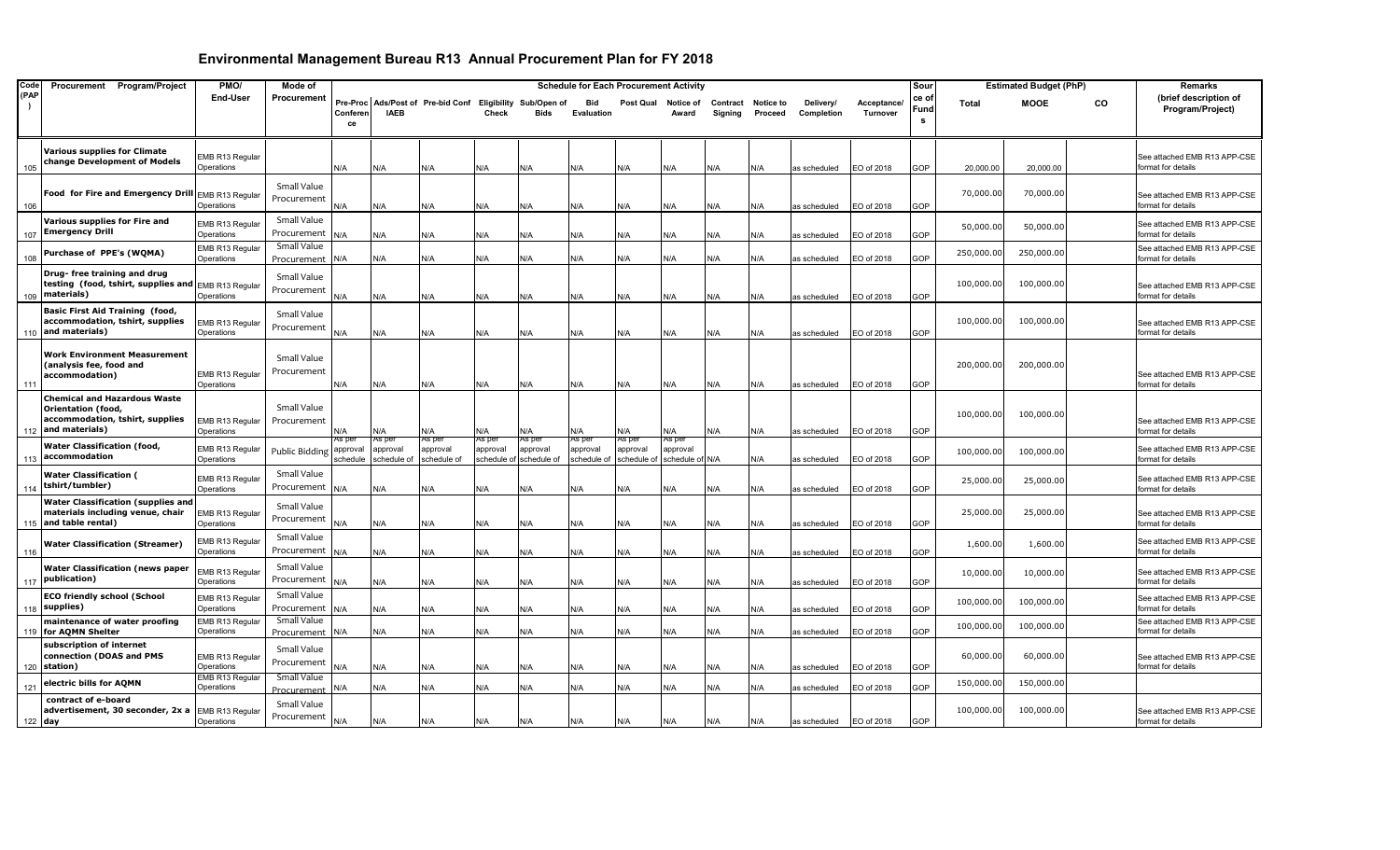| Code |           | Procurement Program/Project                                                                                    | PMO/                                 | Mode of                    |                                |                                  |                                                           |                                   |                                   | <b>Schedule for Each Procurement Activity</b> |                                   |                                       |                     |                             |                         |                         | Sour               |              | <b>Estimated Budget (PhP)</b> |    | Remarks                                            |
|------|-----------|----------------------------------------------------------------------------------------------------------------|--------------------------------------|----------------------------|--------------------------------|----------------------------------|-----------------------------------------------------------|-----------------------------------|-----------------------------------|-----------------------------------------------|-----------------------------------|---------------------------------------|---------------------|-----------------------------|-------------------------|-------------------------|--------------------|--------------|-------------------------------|----|----------------------------------------------------|
| (PAP |           |                                                                                                                | <b>End-User</b>                      | Procurement                | Conferen<br>ce                 | <b>IAEB</b>                      | Pre-Proc Ads/Post of Pre-bid Conf Eligibility Sub/Open of | Check                             | <b>Bids</b>                       | Bid<br>Evaluation                             | Post Qual                         | Notice of<br>Award                    | Contract<br>Signing | <b>Notice to</b><br>Proceed | Delivery/<br>Completion | Acceptance/<br>Turnover | ce of<br>Fund<br>s | <b>Total</b> | <b>MOOE</b>                   | CO | (brief description of<br>Program/Project)          |
|      |           |                                                                                                                |                                      |                            |                                |                                  |                                                           |                                   |                                   |                                               |                                   |                                       |                     |                             |                         |                         |                    |              |                               |    |                                                    |
|      | 105       | <b>Various supplies for Climate</b><br>change Development of Models                                            | EMB R13 Regular<br>Operations        |                            | N/A                            | N/A                              | N/A                                                       | N/A                               | N/A                               | N/A                                           | N/A                               | N/A                                   | N/A                 | N/A                         | as scheduled            | EO of 2018              | GOP                | 20,000.00    | 20,000.00                     |    | See attached EMB R13 APP-CSE<br>format for details |
|      | 106       | Food for Fire and Emergency Drill EMB R13 Regular                                                              | Operations                           | Small Value<br>Procurement | ۷A.                            | N/A                              | N/A                                                       | N/A                               | N/A                               | N/A                                           | N/A                               | N/A                                   | N/A                 | N/A                         | as scheduled            | EO of 2018              | GOP                | 70,000.00    | 70,000.00                     |    | See attached EMB R13 APP-CSE<br>format for details |
|      |           | Various supplies for Fire and                                                                                  | EMB R13 Regular                      | Small Value                |                                |                                  |                                                           |                                   |                                   |                                               |                                   |                                       |                     |                             |                         |                         |                    | 50,000.00    | 50,000.00                     |    | See attached EMB R13 APP-CSE                       |
|      | 107       | <b>Emergency Drill</b><br>Purchase of PPE's (WQMA)                                                             | Operations<br>EMB R13 Regular        | Procurement<br>Small Value | <b>V/A</b>                     | N/A                              | N/A                                                       | N/A                               | N/A                               | N/A                                           | N/A                               | N/A                                   | N/A                 | N/A                         | as scheduled            | EO of 2018              | GOP                | 250,000.00   | 250,000.00                    |    | ormat for details<br>See attached EMB R13 APP-CSE  |
|      | 108       | Drug- free training and drug<br>testing (food, tshirt, supplies and EMB R13 Regular                            | Operations                           | Procurement<br>Small Value | N/A                            | N/A                              | N/A                                                       | N/A                               | N/A                               | N/A                                           | N/A                               | N/A                                   | N/A                 | N/A                         | as scheduled            | EO of 2018              | <b>GOP</b>         | 100,000.00   | 100,000.00                    |    | format for details                                 |
|      |           | 109   materials)                                                                                               | Operations                           | Procurement                | ۷/A                            | N/A                              | N/A                                                       | N/A                               | N/A                               | N/A                                           | N/A                               | N/A                                   | N/A                 | N/A                         | as scheduled            | EO of 2018              | <b>GOP</b>         |              |                               |    | See attached EMB R13 APP-CSE<br>format for details |
|      |           | <b>Basic First Aid Training (food,</b><br>accommodation, tshirt, supplies<br>110 and materials)                | <b>EMB R13 Regular</b><br>Operations | Small Value<br>Procurement | N/A                            | N/A                              | N/A                                                       | N/A                               | N/A                               | N/A                                           | N/A                               | N/A                                   | N/A                 | N/A                         | as scheduled            | EO of 2018              | <b>GOP</b>         | 100,000.00   | 100,000.00                    |    | See attached EMB R13 APP-CSE<br>format for details |
| 111  |           | <b>Work Environment Measurement</b><br>(analysis fee, food and<br>accommodation)                               | EMB R13 Regular<br>Operations        | Small Value<br>Procurement | N/A                            | N/A                              | N/A                                                       | N/A                               | N/A                               | N/A                                           | N/A                               | N/A                                   | N/A                 | N/A                         | as scheduled            | EO of 2018              | GOP                | 200,000.00   | 200,000.00                    |    | See attached EMB R13 APP-CSE<br>format for details |
|      | 112       | <b>Chemical and Hazardous Waste</b><br>Orientation (food,<br>accommodation, tshirt, supplies<br>and materials) | EMB R13 Regular<br>Operations        | Small Value<br>Procurement | ۷/A                            | N/A                              | N/A                                                       | N/A                               | N/A                               | N/A                                           | N/A                               | N/A                                   | N/A                 | N/A                         | as scheduled            | EO of 2018              | <b>GOP</b>         | 100,000.00   | 100,000.00                    |    | See attached EMB R13 APP-CSE<br>format for details |
|      | 113       | Water Classification (food,<br>accommodation                                                                   | EMB R13 Regular<br>Operations        | Public Bidding             | \s per<br>approval<br>schedule | As per<br>approval<br>schedule o | 4s pei<br>approval<br>schedule of                         | 4s per<br>approval<br>schedule of | AS per<br>approval<br>schedule of | as per<br>approval<br>schedule o              | As pei<br>approval<br>schedule of | 4s pei<br>approval<br>schedule of N/A |                     | N/A                         | as scheduled            | EO of 2018              | <b>GOP</b>         | 100,000.00   | 100,000.00                    |    | See attached EMB R13 APP-CSE<br>format for details |
|      | 114       | <b>Water Classification (</b><br>tshirt/tumbler)                                                               | EMB R13 Regular<br>Operations        | Small Value<br>Procurement | N/A                            | N/A                              | N/A                                                       | N/A                               | N/A                               | N/A                                           | N/A                               | N/A                                   | N/A                 | N/A                         | as scheduled            | EO of 2018              | GOP                | 25,000.00    | 25,000.00                     |    | See attached EMB R13 APP-CSE<br>format for details |
|      |           | <b>Water Classification (supplies and</b><br>materials including venue, chair<br>115 and table rental)         | <b>EMB R13 Regular</b><br>Operations | Small Value<br>Procurement | <b>N/A</b>                     | N/A                              | N/A                                                       | N/A                               | N/A                               | N/A                                           | N/A                               | N/A                                   | N/A                 | N/A                         | as scheduled            | EO of 2018              | GOP                | 25,000.00    | 25,000.00                     |    | See attached EMB R13 APP-CSE<br>format for details |
| 116  |           | <b>Water Classification (Streamer)</b>                                                                         | EMB R13 Regular<br>Operations        | Small Value<br>Procurement | N/A                            | N/A                              | N/A                                                       | N/A                               | N/A                               | N/A                                           | N/A                               | N/A                                   | N/A                 | N/A                         | as scheduled            | EO of 2018              | <b>GOP</b>         | 1,600.00     | 1,600.00                      |    | See attached EMB R13 APP-CSE<br>format for details |
|      | 117       | <b>Water Classification (news paper</b><br>publication)                                                        | EMB R13 Regular<br>Operations        | Small Value<br>Procurement | ۷A/                            | N/A                              | N/A                                                       | N/A                               | N/A                               | N/A                                           | N/A                               | N/A                                   | N/A                 | N/A                         | as scheduled            | EO of 2018              | <b>GOP</b>         | 10,000.00    | 10,000.00                     |    | See attached EMB R13 APP-CSE<br>format for details |
|      | 118       | <b>ECO friendly school (School</b><br>supplies)                                                                | EMB R13 Regular<br>Operations        | Small Value<br>Procurement | <b>V/A</b>                     | N/A                              | N/A                                                       | N/A                               | N/A                               | N/A                                           | N/A                               | N/A                                   | N/A                 | N/A                         | as scheduled            | EO of 2018              | GOP                | 100,000.00   | 100,000.00                    |    | See attached EMB R13 APP-CSE<br>format for details |
|      |           | maintenance of water proofing<br>119 for AQMN Shelter                                                          | EMB R13 Regular<br>Operations        | Small Value<br>Procurement | N/A                            | N/A                              | N/A                                                       | N/A                               | N/A                               | N/A                                           | N/A                               | N/A                                   | N/A                 | N/A                         | as scheduled            | EO of 2018              | GOP                | 100,000.00   | 100,000.00                    |    | See attached EMB R13 APP-CSE<br>ormat for details  |
|      |           | subscription of internet<br>connection (DOAS and PMS<br>120 station)                                           | EMB R13 Regular<br>Operations        | Small Value<br>Procurement | ۷/A                            | N/A                              | N/A                                                       | N/A                               | N/A                               | N/A                                           | N/A                               | N/A                                   | N/A                 | N/A                         | as scheduled            | EO of 2018              | GOP                | 60,000.00    | 60,000.00                     |    | See attached EMB R13 APP-CSE<br>format for details |
| 121  |           | electric bills for AQMN                                                                                        | EMB R13 Regular<br>Operations        | Small Value<br>Procurement | ۷/A                            | N/A                              | N/A                                                       | N/A                               | N/A                               | N/A                                           | N/A                               | N/A                                   | N/A                 | N/A                         | as scheduled            | EO of 2018              | GOP                | 150,000.00   | 150,000.00                    |    |                                                    |
|      | $122$ day | contract of e-board<br>advertisement, 30 seconder, 2x a                                                        | EMB R13 Regular<br>Operations        | Small Value<br>Procurement | N/A                            | N/A                              | N/A                                                       | N/A                               | N/A                               | N/A                                           | N/A                               | N/A                                   | N/A                 | N/A                         | as scheduled            | EO of 2018              | GOP                | 100,000.00   | 100,000.00                    |    | See attached EMB R13 APP-CSE<br>format for details |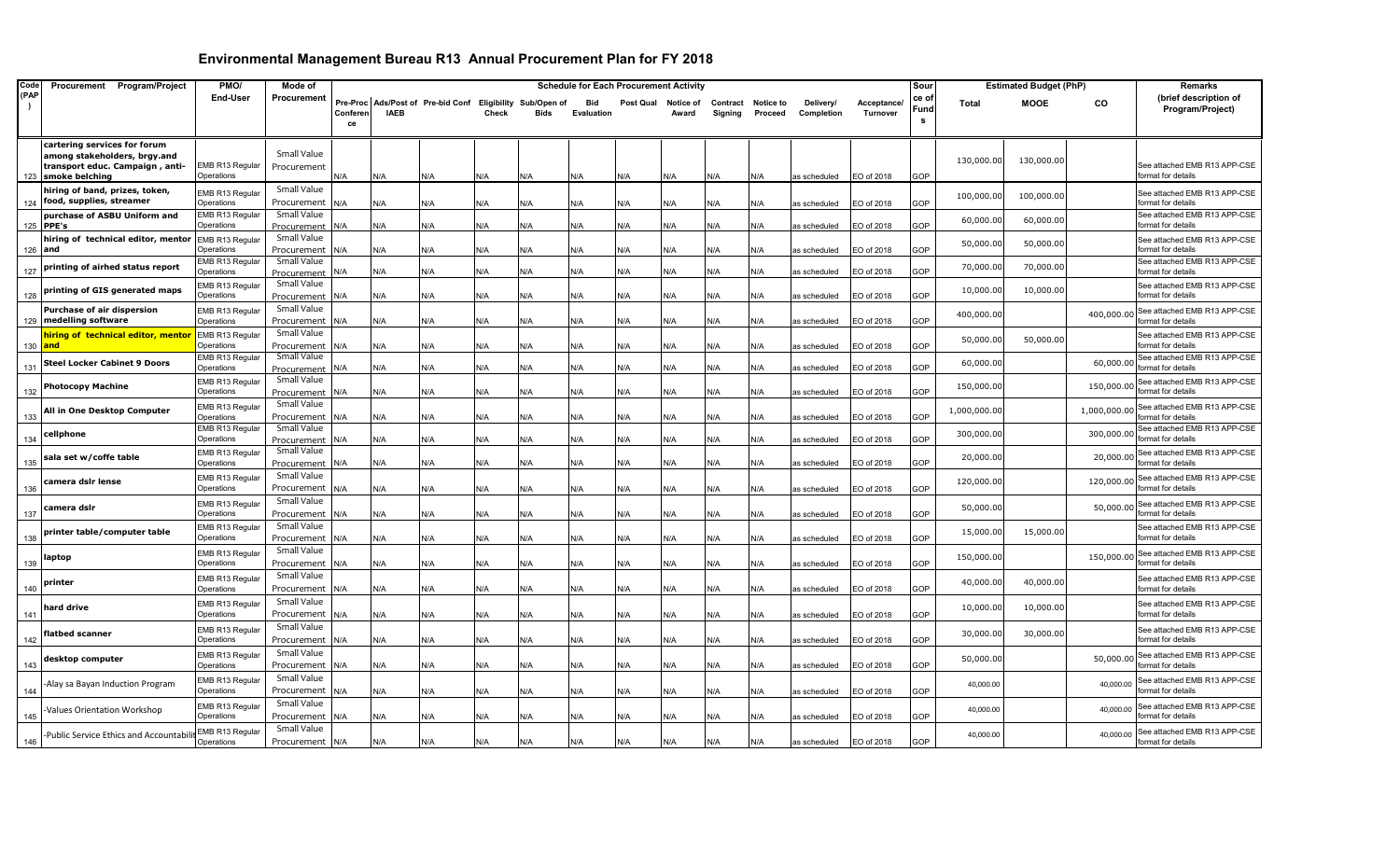| Code | Procurement Program/Project                                  | PMO/                          | Mode of                    |          |             |                                                           |       |      |                   | <b>Schedule for Each Procurement Activity</b> |           |          |                  |              |             | Sour |              | <b>Estimated Budget (PhP)</b> |              | <b>Remarks</b>                                     |
|------|--------------------------------------------------------------|-------------------------------|----------------------------|----------|-------------|-----------------------------------------------------------|-------|------|-------------------|-----------------------------------------------|-----------|----------|------------------|--------------|-------------|------|--------------|-------------------------------|--------------|----------------------------------------------------|
| (PAP |                                                              | End-User                      | Procurement                |          |             | Pre-Proc Ads/Post of Pre-bid Conf Eligibility Sub/Open of |       |      | Bid               | Post Qual                                     | Notice of | Contract | <b>Notice to</b> | Delivery/    | Acceptance/ | ce o | <b>Total</b> | <b>MOOE</b>                   | CO           | (brief description of                              |
|      |                                                              |                               |                            | Conferen | <b>IAEB</b> |                                                           | Check | Bids | <b>Evaluation</b> |                                               | Award     | Signing  | Proceed          | Completion   | Turnover    | Fund |              |                               |              | Program/Project)                                   |
|      |                                                              |                               |                            | ce       |             |                                                           |       |      |                   |                                               |           |          |                  |              |             | s    |              |                               |              |                                                    |
|      |                                                              |                               |                            |          |             |                                                           |       |      |                   |                                               |           |          |                  |              |             |      |              |                               |              |                                                    |
|      | cartering services for forum<br>among stakeholders, brgy.and |                               | Small Value                |          |             |                                                           |       |      |                   |                                               |           |          |                  |              |             |      |              |                               |              |                                                    |
|      | transport educ. Campaign , anti-                             | EMB R13 Regular               | Procurement                |          |             |                                                           |       |      |                   |                                               |           |          |                  |              |             |      | 130,000.00   | 130,000.00                    |              | See attached EMB R13 APP-CSE                       |
| 123  | smoke belching                                               | Operations                    |                            | N/A      | N/A         | N/A                                                       | N/A   | N/A  | N/A               | N/A                                           | N/A       | N/A      | ۷/A              | as scheduled | EO of 2018  | GOP  |              |                               |              | format for details                                 |
|      | hiring of band, prizes, token,                               | EMB R13 Regular               | Small Value                |          |             |                                                           |       |      |                   |                                               |           |          |                  |              |             |      | 100,000.00   | 100,000.00                    |              | See attached EMB R13 APP-CSE                       |
| 124  | food, supplies, streamer                                     | Operations                    | Procurement                | N/A      | N/A         | N/A                                                       | N/A   | N/A  | N/A               | N/A                                           | N/A       | N/A      | ۷/A              | เร scheduled | O of 2018   | GOP  |              |                               |              | format for details                                 |
|      | purchase of ASBU Uniform and                                 | EMB R13 Regular               | Small Value                |          |             |                                                           |       |      |                   |                                               |           |          |                  |              |             |      | 60,000.0     | 60,000.00                     |              | See attached EMB R13 APP-CSE                       |
|      | 125 PPE's                                                    | Operations                    | Procurement                | N/A      | N/A         | N/A                                                       | N/A   | N/A  | N/A               | N/A                                           | N/A       | N/A      | N/A              | as scheduled | EO of 2018  | GOP  |              |                               |              | format for details                                 |
|      | hiring of technical editor, mentor EMB R13 Regular           |                               | Small Value                |          |             |                                                           |       |      |                   |                                               |           |          |                  |              |             |      | 50,000.0     | 50,000.00                     |              | See attached EMB R13 APP-CSE                       |
|      | 126 and                                                      | Operations                    | Procurement<br>Small Value | N/A      | N/A         | N/A                                                       | N/A   | N/A  | N/A               | N/A                                           | N/A       | N/A      | N/A              | as scheduled | EO of 2018  | GOP  |              |                               |              | format for details<br>See attached EMB R13 APP-CSE |
| 127  | printing of airhed status report                             | EMB R13 Regular<br>Operations | Procurement                | N/A      | N/A         | N/A                                                       | N/A   | N/A  | N/A               | N/A                                           | N/A       | N/A      | N/A              | as scheduled | EO of 2018  | GOP  | 70,000.0     | 70,000.00                     |              | format for details                                 |
|      |                                                              | EMB R13 Regular               | Small Value                |          |             |                                                           |       |      |                   |                                               |           |          |                  |              |             |      |              |                               |              | See attached EMB R13 APP-CSE                       |
| 128  | printing of GIS generated maps                               | Operations                    | Procurement                | N/A      | N/A         | N/A                                                       | N/A   | N/A  | N/A               | N/A                                           | N/A       | N/A      | <b>N/A</b>       | as scheduled | O of 2018   | GOP  | 10,000.0     | 10,000.00                     |              | format for details                                 |
|      | Purchase of air dispersion                                   | EMB R13 Regular               | Small Value                |          |             |                                                           |       |      |                   |                                               |           |          |                  |              |             |      |              |                               |              | See attached EMB R13 APP-CSE                       |
|      | 129 medelling software                                       | Operations                    | Procurement                | N/A      | N/A         | N/A                                                       | N/A   | N/A  | N/A               | N/A                                           | N/A       | N/A      | N/A              | as scheduled | O of 2018   | GOP  | 400,000.00   |                               | 400,000.00   | format for details                                 |
|      | hiring of technical editor, mentor                           | EMB R13 Regular               | Small Value                |          |             |                                                           |       |      |                   |                                               |           |          |                  |              |             |      |              |                               |              | See attached EMB R13 APP-CSE                       |
|      | 130 and                                                      | Operations                    | Procurement                | N/A      | N/A         | N/A                                                       | N/A   | N/A  | N/A               | N/A                                           | N/A       | N/A      | N/A              | as scheduled | O of 2018   | GOP  | 50,000.00    | 50,000.00                     |              | format for details                                 |
|      | <b>Steel Locker Cabinet 9 Doors</b>                          | EMB R13 Regular               | Small Value                |          |             |                                                           |       |      |                   |                                               |           |          |                  |              |             |      | 60,000.00    |                               | 60,000.00    | See attached EMB R13 APP-CSE                       |
| 131  |                                                              | Operations                    | Procurement                | N/A      | N/A         | N/A                                                       | N/A   | N/A  | N/A               | N/A                                           | N/A       | N/A      | <b>N/A</b>       | as scheduled | O of 2018   | GOP  |              |                               |              | format for details                                 |
|      | <b>Photocopy Machine</b>                                     | EMB R13 Regular               | Small Value                |          |             |                                                           |       |      |                   |                                               |           |          |                  |              |             |      | 150,000.00   |                               | 150,000.00   | See attached EMB R13 APP-CSE                       |
| 132  |                                                              | Operations                    | Procurement                | N/A      | N/A         | N/A                                                       | N/A   | N/A  | N/A               | N/A                                           | N/A       | N/A      | <b>N/A</b>       | as scheduled | O of 2018   | GOP  |              |                               |              | format for details                                 |
|      | All in One Desktop Computer                                  | EMB R13 Regular               | Small Value                |          |             |                                                           |       |      |                   |                                               |           |          |                  |              |             |      | 1,000,000.00 |                               | 1,000,000.00 | See attached EMB R13 APP-CSE                       |
| 133  |                                                              | Operations<br>EMB R13 Regular | Procurement<br>Small Value | N/A      | N/A         | N/A                                                       | N/A   | N/A  | N/A               | N/A                                           | N/A       | N/A      | N/A              | as scheduled | EO of 2018  | GOP  |              |                               |              | format for details<br>See attached EMB R13 APP-CSE |
| 134  | cellphone                                                    | Operations                    | Procurement                | N/A      | N/A         | N/A                                                       | N/A   | N/A  | N/A               | N/A                                           | N/A       | N/A      | N/A              | as scheduled | O of 2018   | GOP  | 300,000.00   |                               | 300,000.00   | format for details                                 |
|      |                                                              | EMB R13 Regular               | Small Value                |          |             |                                                           |       |      |                   |                                               |           |          |                  |              |             |      |              |                               |              | See attached EMB R13 APP-CSE                       |
| 135  | sala set w/coffe table                                       | Operations                    | Procurement                | N/A      | N/A         | N/A                                                       | N/A   | N/A  | N/A               | N/A                                           | N/A       | N/A      | N/A              | as scheduled | EO of 2018  | GOP  | 20,000.00    |                               | 20,000.00    | format for details                                 |
|      |                                                              | EMB R13 Regular               | Small Value                |          |             |                                                           |       |      |                   |                                               |           |          |                  |              |             |      | 120,000.00   |                               | 120,000.00   | See attached EMB R13 APP-CSE                       |
| 136  | camera dslr lense                                            | Operations                    | Procurement                | N/A      | N/A         | N/A                                                       | N/A   | N/A  | N/A               | N/A                                           | N/A       | N/A      | N/A              | as scheduled | EO of 2018  | GOP  |              |                               |              | format for details                                 |
|      | camera dslr                                                  | EMB R13 Regular               | Small Value                |          |             |                                                           |       |      |                   |                                               |           |          |                  |              |             |      | 50,000.00    |                               | 50,000.00    | See attached EMB R13 APP-CSE                       |
| 137  |                                                              | Operations                    | Procurement                | N/A      | N/A         | N/A                                                       | N/A   | N/A  | N/A               | N/A                                           | N/A       | N/A      | N/A              | as scheduled | EO of 2018  | GOP  |              |                               |              | format for details                                 |
|      | printer table/computer table                                 | EMB R13 Regular               | Small Value                |          |             |                                                           |       |      |                   |                                               |           |          |                  |              |             |      | 15,000.0     | 15,000.00                     |              | See attached EMB R13 APP-CSE                       |
| 138  |                                                              | Operations                    | Procurement                | N/A      | N/A         | N/A                                                       | N/A   | N/A  | N/A               | N/A                                           | N/A       | N/A      | N/A              | as scheduled | EO of 2018  | GOP  |              |                               |              | format for details                                 |
|      | laptop                                                       | EMB R13 Regular               | Small Value                |          |             |                                                           |       |      |                   |                                               |           |          |                  |              |             |      | 150,000.00   |                               | 150,000.00   | See attached EMB R13 APP-CSE                       |
| 139  |                                                              | Operations                    | Procurement                | N/A      | N/A         | N/A                                                       | N/A   | N/A  | N/A               | N/A                                           | N/A       | N/A      | ۷/A              | as scheduled | O of 2018   | GOP  |              |                               |              | format for details                                 |
|      | printer                                                      | EMB R13 Regular               | Small Value                |          |             |                                                           |       |      |                   |                                               |           |          |                  |              |             |      | 40,000.0     | 40,000.00                     |              | See attached EMB R13 APP-CSE                       |
| 140  |                                                              | Operations                    | Procurement                | N/A      | N/A         | N/A                                                       | N/A   | N/A  | N/A               | N/A                                           | N/A       | N/A      | N/A              | as scheduled | EO of 2018  | GOP  |              |                               |              | format for details                                 |
|      | hard drive                                                   | EMB R13 Regular               | Small Value                |          |             |                                                           |       |      |                   |                                               |           |          |                  |              |             |      | 10,000.0     | 10,000.00                     |              | See attached EMB R13 APP-CSE                       |
| 141  |                                                              | Operations                    | Procurement                | N/A      | N/A         | N/A                                                       | N/A   | N/A  | N/A               | N/A                                           | N/A       | N/A      | N/A              | as scheduled | EO of 2018  | GOP  |              |                               |              | format for details                                 |
|      | flatbed scanner                                              | EMB R13 Regular               | Small Value                |          |             |                                                           |       |      |                   |                                               |           |          |                  |              |             |      | 30,000.0     | 30,000.00                     |              | See attached EMB R13 APP-CSE                       |
| 142  |                                                              | Operations                    | Procurement                | N/A      | N/A         | N/A                                                       | N/A   | N/A  | N/A               | N/A                                           | N/A       | N/A      | N/A              | as scheduled | EO of 2018  | GOP  |              |                               |              | format for details                                 |
|      | desktop computer                                             | EMB R13 Regular               | Small Value                |          |             |                                                           |       |      |                   |                                               |           |          |                  |              |             |      | 50,000.00    |                               | 50,000.00    | See attached EMB R13 APP-CSE                       |
| 143  |                                                              | Operations                    | Procurement                | N/A      | N/A         | N/A                                                       | N/A   | N/A  | N/A               | N/A                                           | N/A       | N/A      | N/A              | as scheduled | EO of 2018  | GOP  |              |                               |              | format for details                                 |
|      | Alay sa Bayan Induction Program                              | EMB R13 Regular               | Small Value                |          |             |                                                           |       |      |                   |                                               |           |          |                  |              |             |      | 40,000.00    |                               | 40,000.00    | See attached EMB R13 APP-CSE                       |
| 144  |                                                              | Operations                    | Procurement<br>Small Value | N/A      | N/A         | N/A                                                       | N/A   | N/A  | N/A               | N/A                                           | N/A       | N/A      | ۷/A              | as scheduled | O of 2018   | GOP  |              |                               |              | format for details                                 |
| 145  | <b>Values Orientation Workshop</b>                           | EMB R13 Regular<br>Operations | Procurement                | N/A      | N/A         | N/A                                                       | N/A   | N/A  | N/A               | N/A                                           | N/A       | N/A      | <b>N/A</b>       | as scheduled | O of 2018   | GOP  | 40,000.00    |                               | 40,000.00    | See attached EMB R13 APP-CSE<br>format for details |
|      |                                                              |                               | Small Value                |          |             |                                                           |       |      |                   |                                               |           |          |                  |              |             |      |              |                               |              |                                                    |
| 146  | Public Service Ethics and Accountabil-                       | EMB R13 Regular<br>Operations | Procurement                | N/A      | N/A         | N/A                                                       |       |      | N/A               | N/A                                           | N/A       |          | N/A              |              | EO of 2018  | GOP  | 40,000.00    |                               | 40,000.00    | See attached EMB R13 APP-CSE<br>format for details |
|      |                                                              |                               |                            |          |             |                                                           | N/A   | N/A  |                   |                                               |           | N/A      |                  | as scheduled |             |      |              |                               |              |                                                    |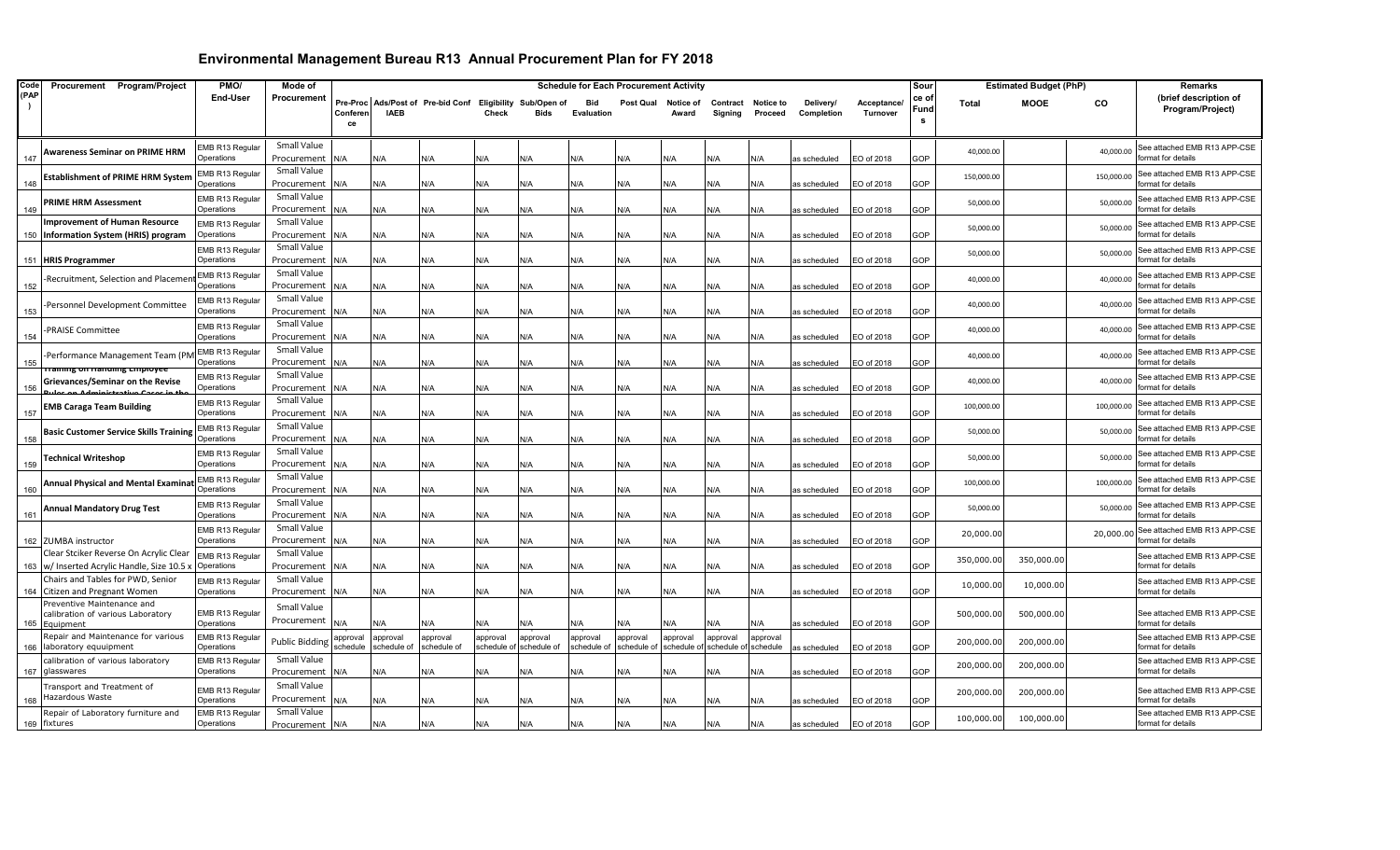| Code | Procurement Program/Project                                                           | PMO/                                | Mode of                        |                      |                         |                                   |                        |                                        |                          | <b>Schedule for Each Procurement Activity</b> |                      |                      |                               |                         |                         | Sour              |            | <b>Estimated Budget (PhP)</b> |            | <b>Remarks</b>                                     |
|------|---------------------------------------------------------------------------------------|-------------------------------------|--------------------------------|----------------------|-------------------------|-----------------------------------|------------------------|----------------------------------------|--------------------------|-----------------------------------------------|----------------------|----------------------|-------------------------------|-------------------------|-------------------------|-------------------|------------|-------------------------------|------------|----------------------------------------------------|
| (PAP |                                                                                       | End-User                            | Procurement                    | Conferen<br>ce       | <b>IAEB</b>             | Pre-Proc Ads/Post of Pre-bid Conf | Check                  | Eligibility Sub/Open of<br><b>Bids</b> | <b>Bid</b><br>Evaluation | Post Qual                                     | Notice of<br>Award   | Signing              | Contract Notice to<br>Proceed | Delivery/<br>Completion | Acceptance/<br>Turnover | ce o<br>Fund<br>s | Total      | <b>MOOE</b>                   | CO         | (brief description of<br>Program/Project)          |
| 147  | <b>Awareness Seminar on PRIME HRM</b>                                                 | EMB R13 Regula<br>Operations        | Small Value<br>Procurement     | N/A                  | N/A                     | N/A                               | N/A                    | N/A                                    | N/A                      | N/A                                           | N/A                  | N/A                  | N/A                           | as scheduled            | EO of 2018              | GOP               | 40,000.00  |                               | 40,000.00  | See attached EMB R13 APP-CSE<br>ormat for details  |
| 148  | <b>Establishment of PRIME HRM System</b>                                              | EMB R13 Regula<br>Operations        | Small Value<br>Procurement     | N/A                  | N/A                     | N/A                               | N/A                    | N/A                                    | N/A                      | N/A                                           | N/A                  | N/A                  | N/A                           | as scheduled            | EO of 2018              | GOP               | 150,000.00 |                               | 150,000.00 | See attached EMB R13 APP-CSE<br>ormat for details  |
| 149  | <b>PRIME HRM Assessment</b>                                                           | EMB R13 Regular<br>Operations       | Small Value<br>Procurement     | N/A                  | N/A                     | N/A                               | N/A                    | N/A                                    | N/A                      | N/A                                           | N/A                  | N/A                  | N/A                           | as scheduled            | EO of 2018              | GOP               | 50,000.00  |                               | 50,000.00  | See attached EMB R13 APP-CSE<br>ormat for details  |
|      | <b>Improvement of Human Resource</b><br>150 Information System (HRIS) program         | EMB R13 Regular<br>Operations       | Small Value<br>Procurement     | N/A                  | N/A                     | N/A                               | N/A                    | ۷/A                                    | N/A                      | N/A                                           | N/A                  | N/A                  | N/A                           | as scheduled            | EO of 2018              | <b>GOP</b>        | 50,000.00  |                               | 50,000.00  | See attached EMB R13 APP-CSE<br>format for details |
|      | 151 HRIS Programmer                                                                   | EMB R13 Regula<br>Operations        | Small Value<br>Procurement     | N/A                  | N/A                     | N/A                               | N/A                    | N/A                                    | N/A                      | N/A                                           | N/A                  | N/A                  | N/A                           | as scheduled            | EO of 2018              | GOP               | 50,000.00  |                               | 50,000.00  | See attached EMB R13 APP-CSE<br>format for details |
| 152  | Recruitment, Selection and Placeme                                                    | EMB R13 Regula<br>Operations        | Small Value<br>Procurement     | N/A                  | N/A                     | N/A                               | N/A                    | N/A                                    | N/A                      | N/A                                           | N/A                  | N/A                  | N/A                           | as scheduled            | EO of 2018              | GOP               | 40,000.00  |                               | 40,000.00  | See attached EMB R13 APP-CSE<br>format for details |
| 153  | Personnel Development Committee                                                       | EMB R13 Regula<br>Operations        | Small Value<br>Procurement     | N/A                  | N/A                     | N/A                               | N/A                    | N/A                                    | N/A                      | N/A                                           | N/A                  | N/A                  | N/A                           | as scheduled            | EO of 2018              | GOP               | 40,000.00  |                               | 40,000.00  | See attached EMB R13 APP-CSE<br>format for details |
| 154  | <b>PRAISE Committee</b>                                                               | EMB R13 Regula<br>Operations        | Small Value<br>Procurement     | N/A                  | N/A                     | N/A                               | N/A                    | N/A                                    | N/A                      | N/A                                           | N/A                  | N/A                  | N/A                           | as scheduled            | EO of 2018              | GOP               | 40,000.00  |                               | 40,000.00  | See attached EMB R13 APP-CSE<br>format for details |
| 155  | Performance Management Team (PN                                                       | <b>EMB R13 Regula</b><br>Operations | Small Value<br>Procurement     | N/A                  | N/A                     | N/A                               | N/A                    | ۷/A                                    | N/A                      | N/A                                           | N/A                  | N/A                  | N/A                           | as scheduled            | EO of 2018              | GOP               | 40,000.00  |                               | 40,000.00  | See attached EMB R13 APP-CSE<br>ormat for details  |
| 156  | <del>mg on nanumig cmpioye</del><br>Grievances/Seminar on the Revise                  | EMB R13 Regula<br>Operations        | Small Value<br>Procurement     | N/A                  | N/A                     | N/A                               | N/A                    | N/A                                    | N/A                      | N/A                                           | N/A                  | N/A                  | N/A                           | as scheduled            | EO of 2018              | GOP               | 40,000.00  |                               | 40,000.00  | See attached EMB R13 APP-CSE<br>ormat for details  |
| 157  | <b>EMB Caraga Team Building</b>                                                       | EMB R13 Regular<br>Operations       | Small Value<br>Procurement     | N/A                  | N/A                     | N/A                               | N/A                    | N/A                                    | N/A                      | N/A                                           | N/A                  | N/A                  | N/A                           | as scheduled            | EO of 2018              | GOP               | 100,000.00 |                               | 100,000.00 | See attached EMB R13 APP-CSE<br>ormat for details  |
| 158  | <b>Basic Customer Service Skills Training</b>                                         | EMB R13 Regular<br>Operations       | Small Value<br>Procurement     | N/A                  | N/A                     | N/A                               | N/A                    | N/A                                    | N/A                      | N/A                                           | N/A                  | N/A                  | N/A                           | as scheduled            | EO of 2018              | GOP               | 50,000.00  |                               | 50,000.00  | See attached EMB R13 APP-CSE<br>format for details |
| 159  | <b>Technical Writeshop</b>                                                            | EMB R13 Regula<br>Operations        | Small Value<br>Procurement     | N/A                  | N/A                     | N/A                               | N/A                    | N/A                                    | N/A                      | N/A                                           | N/A                  | N/A                  | N/A                           | as scheduled            | EO of 2018              | GOP               | 50,000.00  |                               | 50,000.00  | See attached EMB R13 APP-CSE<br>ormat for details  |
| 160  | Annual Physical and Mental ExaminatiEMB R13 Regular                                   | Operations                          | Small Value<br>Procurement     | N/A                  | N/A                     | N/A                               | N/A                    | N/A                                    | N/A                      | N/A                                           | N/A                  | N/A                  | N/A                           | as scheduled            | EO of 2018              | GOP               | 100,000.00 |                               | 100,000.00 | See attached EMB R13 APP-CSE<br>ormat for details  |
| 161  | <b>Annual Mandatory Drug Test</b>                                                     | EMB R13 Regular<br>Operations       | Small Value<br>Procurement     | N/A                  | N/A                     | N/A                               | N/A                    | N/A                                    | N/A                      | N/A                                           | N/A                  | N/A                  | N/A                           | as scheduled            | EO of 2018              | GOP               | 50,000.00  |                               | 50,000.00  | See attached EMB R13 APP-CSE<br>format for details |
|      | 162 ZUMBA instructor                                                                  | EMB R13 Regula<br>Operations        | Small Value<br>Procurement     | N/A                  | N/A                     | N/A                               | N/A                    | N/A                                    | N/A                      | N/A                                           | N/A                  | N/A                  | N/A                           | as scheduled            | EO of 2018              | GOP               | 20,000.00  |                               | 20,000.00  | See attached EMB R13 APP-CSE<br>format for details |
|      | Clear Stciker Reverse On Acrylic Clear<br>163 w/ Inserted Acrylic Handle, Size 10.5 > | EMB R13 Regula<br>Operations        | Small Value<br>Procurement     | N/A                  | N/A                     | N/A                               | N/A                    | N/A                                    | N/A                      | N/A                                           | N/A                  | N/A                  | N/A                           | as scheduled            | EO of 2018              | GOP               | 350,000.00 | 350,000.00                    |            | See attached EMB R13 APP-CSE<br>format for details |
|      | Chairs and Tables for PWD, Senior<br>164 Citizen and Pregnant Women                   | EMB R13 Regula<br>Operations        | Small Value<br>Procurement     | N/A                  | N/A                     | N/A                               | N/A                    | N/A                                    | N/A                      | N/A                                           | N/A                  | N/A                  | N/A                           | as scheduled            | EO of 2018              | GOP               | 10,000.00  | 10,000.00                     |            | See attached EMB R13 APP-CSE<br>format for details |
|      | Preventive Maintenance and<br>calibration of various Laboratory<br>165 Equipment      | EMB R13 Regula<br>Operations        | Small Value<br>Procurement     | N/A                  | N/A                     | N/A                               | N/A                    | N/A                                    | N/A                      | N/A                                           | N/A                  | N/A                  | N/A                           | as scheduled            | EO of 2018              | GOP               | 500,000.00 | 500,000.00                    |            | See attached EMB R13 APP-CSE<br>format for details |
|      | Repair and Maintenance for various<br>166 laboratory equuipment                       | EMB R13 Regula<br>Operations        | Public Bidding                 | approval<br>schedule | approval<br>schedule of | approval<br>schedule of           | approval<br>schedule o | approval<br>schedule of                | approval<br>schedule of  | approval<br>schedule o                        | approval<br>schedule | approval<br>schedule | approval<br>schedule          | as scheduled            | EO of 2018              | GOP               | 200,000.00 | 200,000.00                    |            | See attached EMB R13 APP-CSE<br>format for details |
|      | calibration of various laboratory<br>167 glasswares                                   | EMB R13 Regula<br>Operations        | Small Value<br>Procurement     | N/A                  | N/A                     | N/A                               | N/A                    | ۷/A                                    | N/A                      | N/A                                           | N/A                  | N/A                  | N/A                           | as scheduled            | EO of 2018              | GOP               | 200,000.00 | 200,000.00                    |            | See attached EMB R13 APP-CSE<br>format for details |
|      | Transport and Treatment of<br>Hazardous Waste                                         | EMB R13 Regular<br>Operations       | Small Value<br>Procurement     | N/A                  | N/A                     | N/A                               | N/A                    | <b>N/A</b>                             | N/A                      | N/A                                           | N/A                  | N/A                  | N/A                           | as scheduled            | EO of 2018              | <b>GOP</b>        | 200,000.00 | 200,000.00                    |            | See attached EMB R13 APP-CSE<br>format for details |
|      | Repair of Laboratory furniture and<br>169 fixtures                                    | EMB R13 Regular<br>Operations       | Small Value<br>Procurement N/A |                      | N/A                     | N/A                               | N/A                    | N/A                                    | N/A                      | N/A                                           | N/A                  | N/A                  | N/A                           | as scheduled            | EO of 2018              | GOP               | 100,000.00 | 100,000.00                    |            | See attached EMB R13 APP-CSE<br>format for details |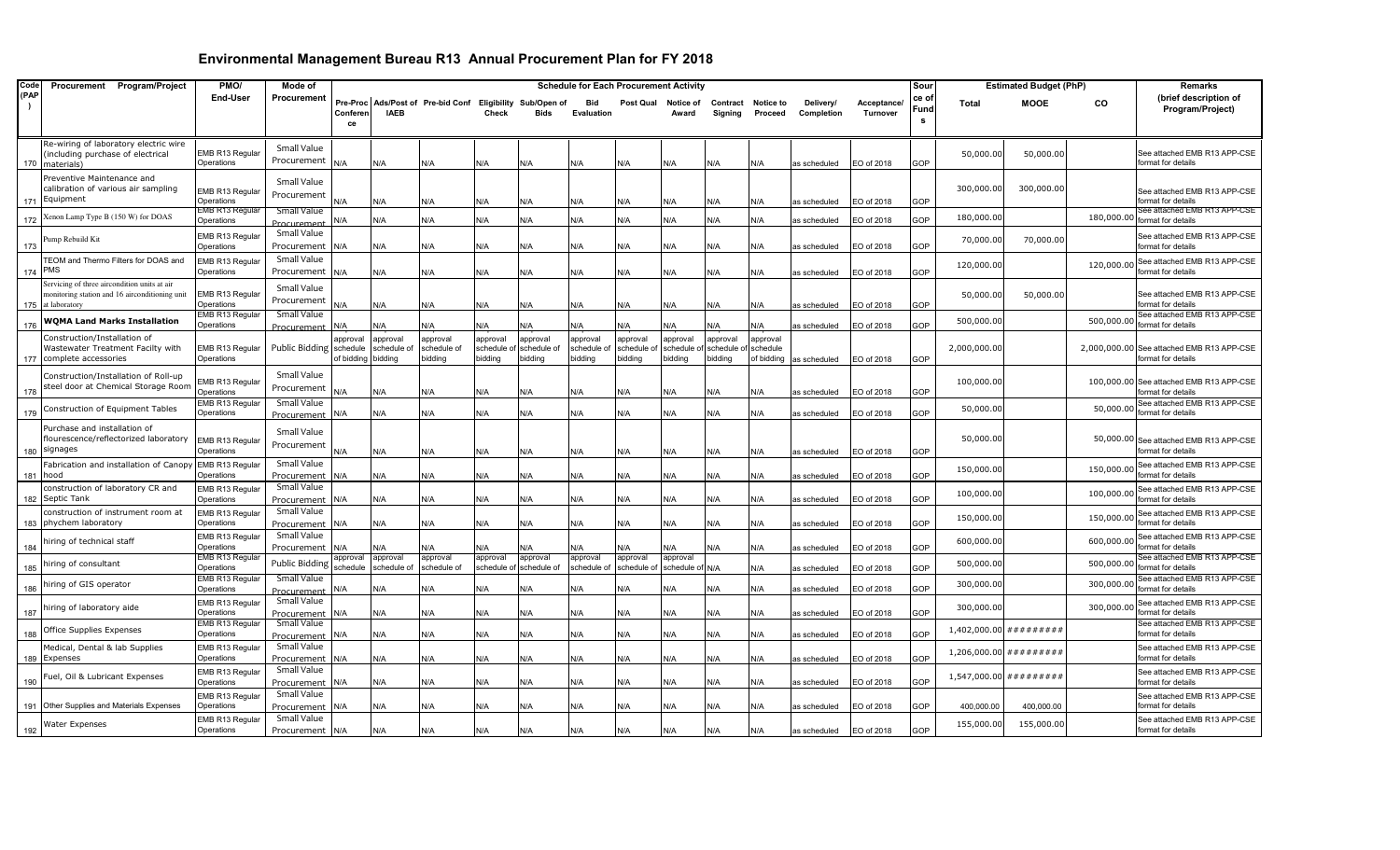| Code | Procurement Program/Project                              | PMO/                          | Mode of                    |          |                    |                                                           |              |                         | <b>Schedule for Each Procurement Activity</b> |            |                 |            |            |              |             | Sour        |                          | <b>Estimated Budget (PhP)</b> |            | Remarks                                                       |
|------|----------------------------------------------------------|-------------------------------|----------------------------|----------|--------------------|-----------------------------------------------------------|--------------|-------------------------|-----------------------------------------------|------------|-----------------|------------|------------|--------------|-------------|-------------|--------------------------|-------------------------------|------------|---------------------------------------------------------------|
| (PAP |                                                          | End-User                      | Procurement                |          |                    | Pre-Proc Ads/Post of Pre-bid Conf Eligibility Sub/Open of |              |                         | Bid                                           | Post Qual  | Notice of       | Contract   | Notice to  | Delivery/    | Acceptance/ | ce o        | <b>Total</b>             | <b>MOOE</b>                   | <b>CO</b>  | (brief description of                                         |
|      |                                                          |                               |                            | Conferen | <b>IAEB</b>        |                                                           | <b>Check</b> | <b>Bids</b>             | Evaluation                                    |            | Award           | Sianina    | Proceed    | Completion   | Turnover    | <b>Fund</b> |                          |                               |            | Program/Project)                                              |
|      |                                                          |                               |                            | ce       |                    |                                                           |              |                         |                                               |            |                 |            |            |              |             | s           |                          |                               |            |                                                               |
|      | Re-wiring of laboratory electric wire                    |                               |                            |          |                    |                                                           |              |                         |                                               |            |                 |            |            |              |             |             |                          |                               |            |                                                               |
|      | including purchase of electrical                         | EMB R13 Regular               | Small Value                |          |                    |                                                           |              |                         |                                               |            |                 |            |            |              |             |             | 50,000.0                 | 50,000.00                     |            | See attached EMB R13 APP-CSE                                  |
| 170  | materials)                                               | Operations                    | Procurement                | N/A      | N/A                | N/A                                                       | N/A          | N/A                     | N/A                                           | N/A        | N/A             | N/A        | N/A        | as scheduled | EO of 2018  | GOP         |                          |                               |            | format for details                                            |
|      | Preventive Maintenance and                               |                               | Small Value                |          |                    |                                                           |              |                         |                                               |            |                 |            |            |              |             |             |                          |                               |            |                                                               |
|      | calibration of various air sampling                      | EMB R13 Regular               | Procurement                |          |                    |                                                           |              |                         |                                               |            |                 |            |            |              |             |             | 300,000.00               | 300,000.00                    |            | See attached EMB R13 APP-CSE                                  |
| 171  | Equipment                                                | Operations<br>EMB R13 Regular | Small Value                | N/A      | N/A                | N/A                                                       | N/A          | N/A                     | N/A                                           | ۷/A        | N/A             | N/A        | N/A        | as scheduled | EO of 2018  | GOP         |                          |                               |            | format for details<br>See attached EMB R13 APP-CSE            |
| 172  | Kenon Lamp Type B (150 W) for DOAS                       | Operations                    | Procurement                | N/A      | N/A                | N/A                                                       | N/A          | N/A                     | N/A                                           | N/A        | N/A             | N/A        | N/A        | as scheduled | EO of 2018  | GOP         | 180,000.0                |                               | 180,000.00 | format for details                                            |
|      |                                                          | EMB R13 Regular               | Small Value                |          |                    |                                                           |              |                         |                                               |            |                 |            |            |              |             |             |                          |                               |            | See attached EMB R13 APP-CSE                                  |
| 173  | ump Rebuild Kit                                          | Operations                    | Procurement                | N/A      | N/A                | N/A                                                       | N/A          | N/A                     | N/A                                           | N/A        | N/A             | N/A        | N/A        | as scheduled | EO of 2018  | GOP         | 70,000.0                 | 70,000.00                     |            | format for details                                            |
|      | TEOM and Thermo Filters for DOAS and                     | EMB R13 Regular               | Small Value                |          |                    |                                                           |              |                         |                                               |            |                 |            |            |              |             |             |                          |                               |            | 120,000.00 See attached EMB R13 APP-CSE                       |
| 174  | PMS                                                      | Operations                    | Procurement                | N/A      | N/A                | N/A                                                       | N/A          | N/A                     | N/A                                           | N/A        | N/A             | N/A        | N/A        | as scheduled | EO of 2018  | GOP         | 120,000.00               |                               |            | format for details                                            |
|      | Servicing of three aircondition units at air             |                               | Small Value                |          |                    |                                                           |              |                         |                                               |            |                 |            |            |              |             |             |                          |                               |            |                                                               |
|      | nonitoring station and 16 airconditioning unit           | EMB R13 Regular               | Procurement                |          |                    |                                                           |              |                         |                                               |            |                 |            |            |              |             |             | 50,000.0                 | 50,000.00                     |            | See attached EMB R13 APP-CSE                                  |
| 175  | at laboratory                                            | Operations<br>EMB R13 Regular | Small Value                | N/A      | N/A                | N/A                                                       | N/A          | N/A                     | N/A                                           | N/A        | N/A             | N/A        | N/A        | as scheduled | EO of 2018  | GOP         |                          |                               |            | format for details<br>See attached EMB R13 APP-CSE            |
| 176  | <b>WQMA Land Marks Installation</b>                      | Operations                    | Procurement                | N/A      | N/A                | N/A                                                       | N/A          | N/A                     | N/A                                           | ۷A/        | N/A             | N/A        | 4/A        | as scheduled | EO of 2018  | GOP         | 500,000.0                |                               | 500,000.00 | format for details                                            |
|      | Construction/Installation of                             |                               |                            | approval | approval           | approval                                                  | approval     | approval                | approval                                      | approval   | approval        | approval   | approval   |              |             |             |                          |                               |            |                                                               |
|      | Wastewater Treatment Facilty with                        | EMB R13 Regular               | Public Bidding schedule    |          | schedule of        | schedule of                                               |              | schedule of schedule of | schedule c                                    | schedule c | schedule o      | schedule o | schedule   |              |             |             | 2,000,000.00             |                               |            | 2,000,000.00 See attached EMB R13 APP-CSE                     |
| 177  | complete accessories                                     | Operations                    |                            |          | of bidding bidding | pidding                                                   | bidding      | bidding                 | pidding                                       | bidding    | bidding         | bidding    | of bidding | as scheduled | EO of 2018  | GOP         |                          |                               |            | format for details                                            |
|      | Construction/Installation of Roll-up                     |                               | Small Value                |          |                    |                                                           |              |                         |                                               |            |                 |            |            |              |             |             |                          |                               |            |                                                               |
| 178  | steel door at Chemical Storage Room                      | MB R13 Regular<br>Operations  | Procurement                | N/A      | N/A                | N/A                                                       | N/A          | N/A                     | N/A                                           | N/A        | N/A             | N/A        | N/A        | as scheduled | EO of 2018  | GOP         | 100,000.00               |                               |            | 100,000.00 See attached EMB R13 APP-CSE<br>format for details |
|      |                                                          | EMB R13 Regular               | Small Value                |          |                    |                                                           |              |                         |                                               |            |                 |            |            |              |             |             |                          |                               |            | See attached EMB R13 APP-CSE                                  |
| 179  | Construction of Equipment Tables                         | Operations                    | Procurement                | N/A      | N/A                | N/A                                                       | N/A          | N/A                     | N/A                                           | N/A        | N/A             | N/A        | N/A        | as scheduled | EO of 2018  | GOP         | 50,000.0                 |                               | 50,000.00  | format for details                                            |
|      | Purchase and installation of                             |                               | Small Value                |          |                    |                                                           |              |                         |                                               |            |                 |            |            |              |             |             |                          |                               |            |                                                               |
|      | flourescence/reflectorized laboratory                    | EMB R13 Regular               | Procurement                |          |                    |                                                           |              |                         |                                               |            |                 |            |            |              |             |             | 50,000.0                 |                               |            | 50,000.00 See attached EMB R13 APP-CSE                        |
| 180  | signages                                                 | Operations                    |                            | N/A      | N/A                | N/A                                                       | N/A          | N/A                     | N/A                                           | N/A        | N/A             | N/A        | N/A        | as scheduled | EO of 2018  | GOP         |                          |                               |            | format for details                                            |
|      | abrication and installation of Canopy                    | EMB R13 Regular               | Small Value                |          |                    |                                                           |              |                         |                                               |            |                 |            |            |              |             |             | 150,000.00               |                               | 150,000.00 | See attached EMB R13 APP-CSE                                  |
| 181  | hood                                                     | Operations                    | Procurement                | N/A      | N/A                | N/A                                                       | N/A          | N/A                     | N/A                                           | N/A        | N/A             | N/A        | N/A        | as scheduled | EO of 2018  | GOP         |                          |                               |            | format for details                                            |
|      | construction of laboratory CR and                        | EMB R13 Regular               | Small Value                |          |                    |                                                           |              |                         |                                               |            |                 |            |            |              |             |             | 100,000.0                |                               | 100,000.00 | See attached EMB R13 APP-CSE<br>format for details            |
| 182  | Septic Tank                                              | Operations                    | Procurement<br>Small Value | N/A      | N/A                | N/A                                                       | N/A          | N/A                     | N/A                                           | N/A        | N/A             | N/A        | N/A        | as scheduled | EO of 2018  | GOP         |                          |                               |            |                                                               |
| 183  | construction of instrument room at<br>phychem laboratory | EMB R13 Regular<br>Operations | Procurement                | N/A      | N/A                | N/A                                                       | N/A          | N/A                     | N/A                                           | N/A        | N/A             | N/A        | N/A        | as scheduled | EO of 2018  | GOP         | 150,000.0                |                               | 150,000.00 | See attached EMB R13 APP-CSE<br>format for details            |
|      |                                                          | EMB R13 Regular               | Small Value                |          |                    |                                                           |              |                         |                                               |            |                 |            |            |              |             |             |                          |                               |            | See attached EMB R13 APP-CSE                                  |
| 184  | niring of technical staff                                | Operations                    | Procurement                | N/A      | N/A                | N/A                                                       | N/A          | N/A                     | N/A                                           | N/A        | N/A             | N/A        | <b>N/A</b> | as scheduled | EO of 2018  | GOP         | 600,000.00               |                               | 600,000.00 | format for details                                            |
|      |                                                          | EMB R13 Regular               | <b>Public Bidding</b>      | approval | approval           | approval                                                  | approval     | approval                | approval                                      | approval   | approval        |            |            |              |             |             | 500,000.0                |                               | 500,000.00 | See attached EMB R13 APP-CSE                                  |
| 185  | hiring of consultant                                     | Operations                    |                            | schedule | schedule of        | schedule of                                               |              | schedule of schedule of | schedule of                                   | schedule o | schedule of N/A |            | N/A        | as scheduled | EO of 2018  | GOP         |                          |                               |            | format for details                                            |
| 186  | hiring of GIS operator                                   | EMB R13 Regular<br>Operations | Small Value                | N/A      | ۷/A                | J/A                                                       | N/A          | N/A                     | N/A                                           | N/A        | N/A             | N/A        | N/A        | as scheduled | EO of 2018  | GOP         | 300,000.00               |                               | 300,000.00 | See attached EMB R13 APP-CSE<br>format for details            |
|      |                                                          | EMB R13 Regular               | Procurement<br>Small Value |          |                    |                                                           |              |                         |                                               |            |                 |            |            |              |             |             |                          |                               |            | See attached EMB R13 APP-CSE                                  |
| 187  | hiring of laboratory aide                                | Operations                    | Procurement                | N/A      | N/A                | N/A                                                       | N/A          | N/A                     | N/A                                           | N/A        | N/A             | N/A        | N/A        | as scheduled | EO of 2018  | GOP         | 300,000.00               |                               | 300,000.00 | format for details                                            |
|      |                                                          | EMB R13 Regular               | Small Value                |          |                    |                                                           |              |                         |                                               |            |                 |            |            |              |             |             |                          |                               |            | See attached EMB R13 APP-CSE                                  |
| 188  | Office Supplies Expenses                                 | Operations                    | <b>Procurement</b>         | N/A      | N/A                | N/A                                                       | N/A          | N/A                     | N/A                                           | N/A        | N/A             | N/A        | N/A        | as scheduled | EO of 2018  | GOP         | $1,402,000.00$ ######### |                               |            | format for details                                            |
|      | Medical, Dental & lab Supplies                           | EMB R13 Regular               | Small Value                |          |                    |                                                           |              |                         |                                               |            |                 |            |            |              |             |             | 1,206,000.00             | #########                     |            | See attached EMB R13 APP-CSE                                  |
| 189  | Expenses                                                 | Operations                    | Procurement                | N/A      | N/A                | N/A                                                       | N/A          | N/A                     | N/A                                           | N/A        | N/A             | N/A        | N/A        | as scheduled | EO of 2018  | GOP         |                          |                               |            | format for details                                            |
|      | uel, Oil & Lubricant Expenses                            | EMB R13 Regular               | Small Value                |          |                    |                                                           |              |                         |                                               |            |                 |            |            |              |             |             | 1,547,000.00             | # # # # # # # #               |            | See attached EMB R13 APP-CSE<br>format for details            |
| 190  |                                                          | <b>Operations</b>             | Procurement<br>Small Value | N/A      | N/A                | N/A                                                       | N/A          | N/A                     | N/A                                           | N/A        | N/A             | N/A        | N/A        | as scheduled | EO of 2018  | GOP         |                          |                               |            |                                                               |
|      | 191 Other Supplies and Materials Expenses                | EMB R13 Regular<br>)perations | Procurement                | N/A      | N/A                | N/A                                                       | N/A          | N/A                     | N/A                                           | N/A        | N/A             | N/A        | N/A        | as scheduled | EO of 2018  | GOP         | 400,000.00               | 400,000.00                    |            | See attached EMB R13 APP-CSE<br>format for details            |
|      |                                                          | EMB R13 Regular               | Small Value                |          |                    |                                                           |              |                         |                                               |            |                 |            |            |              |             |             |                          |                               |            | See attached EMB R13 APP-CSE                                  |
| 192  | <b>Water Expenses</b>                                    | Operations                    | Procurement N/A            |          | N/A                | N/A                                                       | N/A          | N/A                     | N/A                                           | N/A        | N/A             | N/A        | N/A        | as scheduled | EO of 2018  | GOP         | 155,000.00               | 155,000.00                    |            | format for details                                            |
|      |                                                          |                               |                            |          |                    |                                                           |              |                         |                                               |            |                 |            |            |              |             |             |                          |                               |            |                                                               |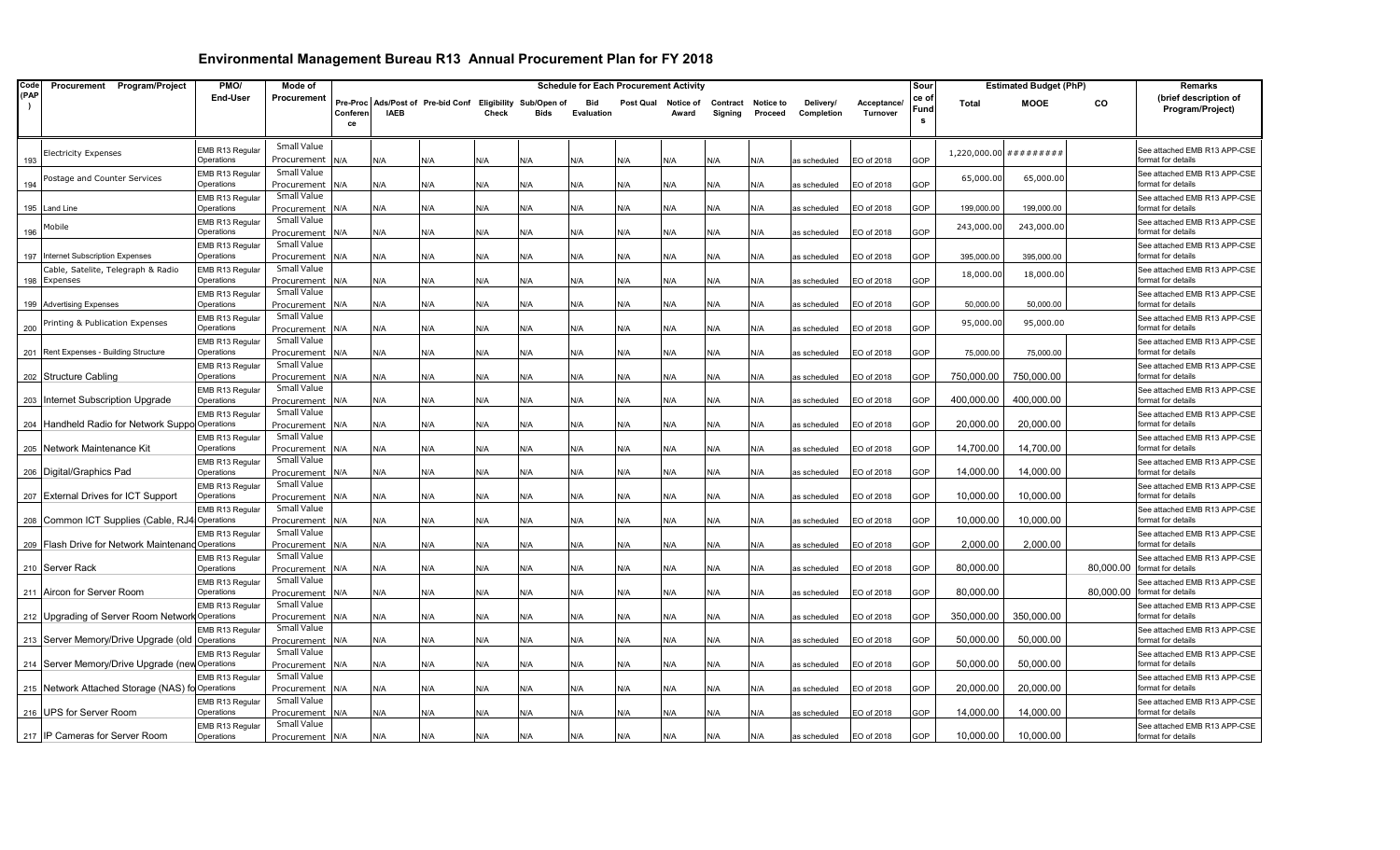| Code | Procurement Program/Project                       | PMO/                          | Mode of                    |                            |             |                                                  |       |             | <b>Schedule for Each Procurement Activity</b> |           |                    |                     |                      |                         |                         | Sour              |              | <b>Estimated Budget (PhP)</b> |           | <b>Remarks</b>                                     |
|------|---------------------------------------------------|-------------------------------|----------------------------|----------------------------|-------------|--------------------------------------------------|-------|-------------|-----------------------------------------------|-----------|--------------------|---------------------|----------------------|-------------------------|-------------------------|-------------------|--------------|-------------------------------|-----------|----------------------------------------------------|
| (PAP |                                                   | End-User                      | Procurement                | Pre-Proc<br>Conferen<br>ce | <b>IAEB</b> | Ads/Post of Pre-bid Conf Eligibility Sub/Open of | Check | <b>Rids</b> | Bid<br><b>Evaluation</b>                      | Post Qual | Notice of<br>Award | Contract<br>Signing | Notice to<br>Proceed | Delivery/<br>Completion | Acceptance.<br>Turnover | ce o<br>Fund<br>s | <b>Total</b> | <b>MOOE</b>                   | CO.       | (brief description of<br>Program/Project)          |
| 193  | <b>Electricity Expenses</b>                       | EMB R13 Regular<br>Operations | Small Value<br>Procurement | <b>N/A</b>                 | N/A         | N/A                                              | N/A   | <b>N/A</b>  | N/A                                           | N/A       | N/A                | N/A                 | N/A                  | as scheduled            | EO of 2018              | GOP               |              | $1,220,000.00$ #########      |           | See attached EMB R13 APP-CSE<br>format for details |
| 194  | Postage and Counter Services                      | EMB R13 Regular<br>Operations | Small Value<br>Procurement | ۷/A                        | N/A         | N/A                                              | N/A   | N/A         | N/A                                           | N/A       | N/A                | N/A                 | N/A                  | as scheduled            | EO of 2018              | GOP               | 65,000.0     | 65,000.00                     |           | See attached EMB R13 APP-CSE<br>ormat for details  |
| 195  | Land Line                                         | EMB R13 Regular<br>Operations | Small Value<br>Procurement | ۷/A                        | N/A         | N/A                                              | N/A   | N/A         | N/A                                           | N/A       | N/A                | N/A                 | N/A                  | as scheduled            | EO of 2018              | GOP               | 199,000.00   | 199,000.00                    |           | See attached EMB R13 APP-CSE<br>format for details |
| 196  | Mobile                                            | EMB R13 Regular<br>Operations | Small Value<br>Procurement | N/A                        | N/A         | N/A                                              | N/A   | N/A         | N/A                                           | N/A       | N/A                | N/A                 | N/A                  | as scheduled            | EO of 2018              | GOP               | 243,000.00   | 243,000.00                    |           | See attached EMB R13 APP-CSE<br>format for details |
| 197  | Internet Subscription Expenses                    | EMB R13 Regular<br>Operations | Small Value<br>Procurement | J/A                        | N/A         | N/A                                              | N/A   | <b>N/A</b>  | N/A                                           | N/A       | N/A                | N/A                 | N/A                  | as scheduled            | EO of 2018              | GOP               | 395,000.00   | 395,000.00                    |           | See attached EMB R13 APP-CSE<br>format for details |
| 198  | Cable, Satelite, Telegraph & Radio<br>Expenses    | EMB R13 Regular<br>Operations | Small Value<br>Procurement | ۷/A                        | N/A         | N/A                                              | N/A   | N/A         | N/A                                           | N/A       | N/A                | N/A                 | N/A                  | as scheduled            | EO of 2018              | GOP               | 18,000.0     | 18,000.00                     |           | See attached EMB R13 APP-CSE<br>format for details |
|      | 199 Advertising Expenses                          | EMB R13 Regular<br>Operations | Small Value<br>Procurement | ۷/A                        | N/A         | N/A                                              | N/A   | N/A         | N/A                                           | N/A       | N/A                | N/A                 | N/A                  | as scheduled            | EO of 2018              | GOP               | 50,000.00    | 50,000.00                     |           | See attached EMB R13 APP-CSE<br>format for details |
| 200  | Printing & Publication Expenses                   | EMB R13 Regular<br>Operations | Small Value<br>Procurement | ۷A.                        | N/A         | N/A                                              | N/A   | N/A         | N/A                                           | N/A       | N/A                | N/A                 | N/A                  | as scheduled            | EO of 2018              | GOP               | 95,000.0     | 95,000.00                     |           | See attached EMB R13 APP-CSE<br>format for details |
|      | 201 Rent Expenses - Building Structure            | EMB R13 Regular<br>Operations | Small Value<br>Procurement | N/A                        | N/A         | N/A                                              | N/A   | <b>N/A</b>  | N/A                                           | N/A       | N/A                | N/A                 | N/A                  | as scheduled            | EO of 2018              | GOP               | 75,000.00    | 75,000.00                     |           | See attached EMB R13 APP-CSE<br>format for details |
|      | 202 Structure Cabling                             | EMB R13 Regular<br>Operations | Small Value<br>Procurement | ۷/A                        | N/A         | N/A                                              | N/A   | N/A         | N/A                                           | N/A       | N/A                | N/A                 | N/A                  | as scheduled            | EO of 2018              | GOP               | 750.000.00   | 750,000.00                    |           | See attached EMB R13 APP-CSE<br>format for details |
| 203  | Internet Subscription Upgrade                     | EMB R13 Regular<br>Operations | Small Value<br>Procurement | N/A                        | N/A         | N/A                                              | N/A   | N/A         | N/A                                           | N/A       | N/A                | N/A                 | N/A                  | as scheduled            | EO of 2018              | GOP               | 400,000.00   | 400,000.00                    |           | See attached EMB R13 APP-CSE<br>format for details |
| 204  | Handheld Radio for Network Suppo Operations       | EMB R13 Regular               | Small Value<br>Procurement | ۷/A                        | N/A         | N/A                                              | N/A   | N/A         | N/A                                           | N/A       | N/A                | N/A                 | N/A                  | as scheduled            | EO of 2018              | GOP               | 20,000.00    | 20,000.00                     |           | See attached EMB R13 APP-CSE<br>format for details |
|      | 205 Network Maintenance Kit                       | EMB R13 Regular<br>Operations | Small Value<br>Procurement | ۷/A                        | N/A         | N/A                                              | N/A   | N/A         | N/A                                           | N/A       | N/A                | N/A                 | N/A                  | as scheduled            | EO of 2018              | GOP               | 14,700.00    | 14,700.00                     |           | See attached EMB R13 APP-CSE<br>format for details |
|      | 206 Digital/Graphics Pad                          | EMB R13 Regular<br>Operations | Small Value<br>Procurement | N/A                        | N/A         | N/A                                              | N/A   | N/A         | N/A                                           | N/A       | N/A                | ۷/A                 | N/A                  | as scheduled            | EO of 2018              | GOP               | 14,000.00    | 14,000.00                     |           | See attached EMB R13 APP-CSE<br>format for details |
|      | 207 External Drives for ICT Support               | EMB R13 Regular<br>Operations | Small Value<br>Procurement | ۷/A                        | N/A         | N/A                                              | N/A   | N/A         | N/A                                           | N/A       | N/A                | N/A                 | N/A                  | as scheduled            | EO of 2018              | GOP               | 10,000.00    | 10,000.00                     |           | See attached EMB R13 APP-CSE<br>format for details |
|      | 208 Common ICT Supplies (Cable, RJ4               | EMB R13 Regular<br>Operations | Small Value<br>Procurement | J/A                        | N/A         | N/A                                              | N/A   | <b>N/A</b>  |                                               | N/A       | N/A                | N/A                 | N/A                  | as scheduled            | EO of 2018              | GOP               | 10,000.00    | 10,000.00                     |           | See attached EMB R13 APP-CSE<br>format for details |
|      | 209 Flash Drive for Network Maintenand Operations | EMB R13 Regular               | Small Value<br>Procurement | ۷/A                        | N/A         | N/A                                              | N/A   | N/A         | N/A                                           | N/A       | N/A                | N/A                 | N/A                  | as scheduled            | EO of 2018              | GOP               | 2,000.00     | 2,000.00                      |           | See attached EMB R13 APP-CSE<br>format for details |
|      | 210 Server Rack                                   | EMB R13 Regular<br>Operations | Small Value<br>Procurement | ۷A.                        | N/A         | N/A                                              | N/A   | N/A         | N/A                                           | N/A       | N/A                | N/A                 | N/A                  | as scheduled            | EO of 2018              | GOP               | 80,000.00    |                               | 80,000.00 | See attached EMB R13 APP-CSE<br>format for details |
|      | 211 Aircon for Server Room                        | EMB R13 Regular<br>Operations | Small Value<br>Procurement | ۷/A                        | N/A         | N/A                                              | N/A   | ۷/A         | N/A                                           | N/A       | N/A                | N/A                 | N/A                  | as scheduled            | EO of 2018              | GOP               | 80,000.00    |                               | 80,000.00 | See attached EMB R13 APP-CSE<br>format for details |
| 212  | Upgrading of Server Room Network Operations       | EMB R13 Regular               | Small Value<br>Procurement | N/A                        | N/A         | N/A                                              | N/A   | N/A         | N/A                                           | N/A       | N/A                | N/A                 | N/A                  | as scheduled            | EO of 2018              | GOP               | 350,000.00   | 350,000.00                    |           | See attached EMB R13 APP-CSE<br>ormat for details  |
|      | 213 Server Memory/Drive Upgrade (old Operations   | EMB R13 Regular               | Small Value<br>Procurement | N/A                        | N/A         | N/A                                              | N/A   | N/A         | N/A                                           | N/A       | N/A                | N/A                 | N/A                  | as scheduled            | EO of 2018              | GOP               | 50,000.00    | 50,000.00                     |           | See attached EMB R13 APP-CSE<br>format for details |
|      | 214 Server Memory/Drive Upgrade (new Operations   | EMB R13 Regular               | Small Value<br>Procurement | 4/A                        | N/A         | N/A                                              | N/A   | N/A         | N/A                                           | N/A       | N/A                | ۷/A                 | ۷A                   | as scheduled            | EO of 2018              | GOP               | 50.000.00    | 50,000.00                     |           | See attached EMB R13 APP-CSE<br>ormat for details  |
|      | 215 Network Attached Storage (NAS) fo Operations  | EMB R13 Regular               | Small Value<br>Procurement | N/A                        | N/A         | N/A                                              | N/A   | N/A         | N/A                                           | N/A       | N/A                | N/A                 | N/A                  | as scheduled            | EO of 2018              | GOP               | 20,000.00    | 20,000.00                     |           | See attached EMB R13 APP-CSE<br>format for details |
|      | 216 UPS for Server Room                           | EMB R13 Regular<br>Operations | Small Value<br>Procurement | <b>N/A</b>                 | N/A         | N/A                                              | N/A   | N/A         | N/A                                           | N/A       | N/A                | A/k                 | N/A                  | as scheduled            | EO of 2018              | GOP               | 14,000.00    | 14,000.00                     |           | See attached EMB R13 APP-CSE<br>format for details |
|      | 217 IP Cameras for Server Room                    | EMB R13 Regular<br>Operations | Small Value<br>Procurement | N/A                        | N/A         | N/A                                              | N/A   | N/A         | N/A                                           | N/A       | N/A                | N/A                 | N/A                  | as scheduled            | EO of 2018              | GOP               | 10.000.00    | 10,000.00                     |           | See attached EMB R13 APP-CSE<br>format for details |